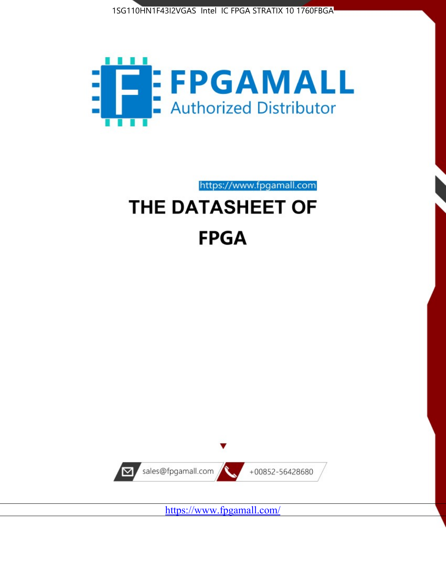



https://www.fpgamall.com

# THE DATASHEET OF **FPGA**



<https://www.fpgamall.com/>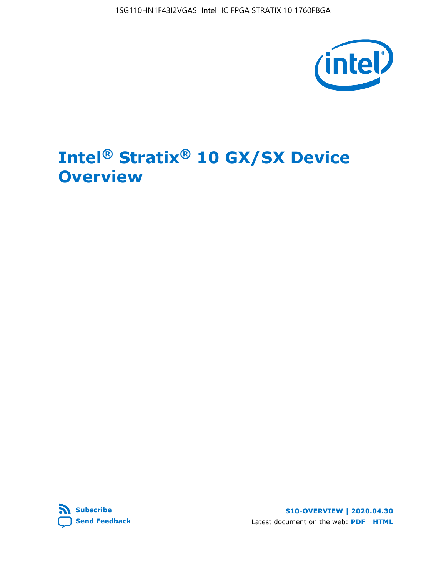1SG110HN1F43I2VGAS Intel IC FPGA STRATIX 10 1760FBGA



# **Intel® Stratix® 10 GX/SX Device Overview**



**S10-OVERVIEW | 2020.04.30** Latest document on the web: **[PDF](https://www.intel.com/content/dam/www/programmable/us/en/pdfs/literature/hb/stratix-10/s10-overview.pdf)** | **[HTML](https://www.intel.com/content/www/us/en/programmable/documentation/joc1442261161666.html)**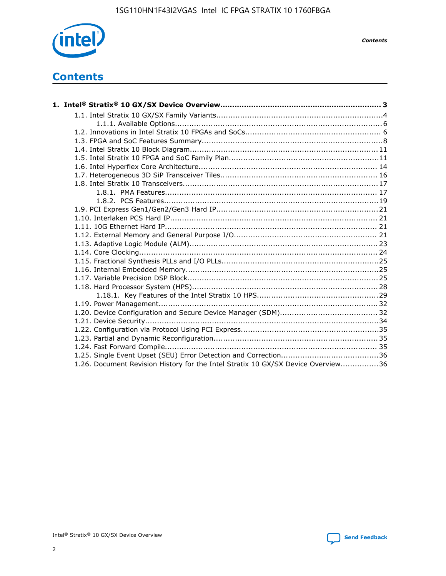

*Contents*

# **Contents**

| 1.26. Document Revision History for the Intel Stratix 10 GX/SX Device Overview36 |  |
|----------------------------------------------------------------------------------|--|

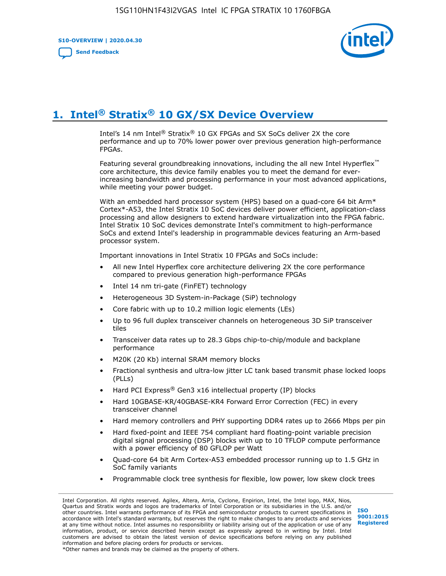**S10-OVERVIEW | 2020.04.30**

**[Send Feedback](mailto:FPGAtechdocfeedback@intel.com?subject=Feedback%20on%20Intel%20Stratix%2010%20GX/SX%20Device%20Overview%20(S10-OVERVIEW%202020.04.30)&body=We%20appreciate%20your%20feedback.%20In%20your%20comments,%20also%20specify%20the%20page%20number%20or%20paragraph.%20Thank%20you.)**



# **1. Intel® Stratix® 10 GX/SX Device Overview**

Intel's 14 nm Intel® Stratix® 10 GX FPGAs and SX SoCs deliver 2X the core performance and up to 70% lower power over previous generation high-performance FPGAs.

Featuring several groundbreaking innovations, including the all new Intel Hyperflex™ core architecture, this device family enables you to meet the demand for everincreasing bandwidth and processing performance in your most advanced applications, while meeting your power budget.

With an embedded hard processor system (HPS) based on a quad-core 64 bit Arm\* Cortex\*-A53, the Intel Stratix 10 SoC devices deliver power efficient, application-class processing and allow designers to extend hardware virtualization into the FPGA fabric. Intel Stratix 10 SoC devices demonstrate Intel's commitment to high-performance SoCs and extend Intel's leadership in programmable devices featuring an Arm-based processor system.

Important innovations in Intel Stratix 10 FPGAs and SoCs include:

- All new Intel Hyperflex core architecture delivering 2X the core performance compared to previous generation high-performance FPGAs
- Intel 14 nm tri-gate (FinFET) technology
- Heterogeneous 3D System-in-Package (SiP) technology
- Core fabric with up to 10.2 million logic elements (LEs)
- Up to 96 full duplex transceiver channels on heterogeneous 3D SiP transceiver tiles
- Transceiver data rates up to 28.3 Gbps chip-to-chip/module and backplane performance
- M20K (20 Kb) internal SRAM memory blocks
- Fractional synthesis and ultra-low jitter LC tank based transmit phase locked loops (PLLs)
- Hard PCI Express<sup>®</sup> Gen3 x16 intellectual property (IP) blocks
- Hard 10GBASE-KR/40GBASE-KR4 Forward Error Correction (FEC) in every transceiver channel
- Hard memory controllers and PHY supporting DDR4 rates up to 2666 Mbps per pin
- Hard fixed-point and IEEE 754 compliant hard floating-point variable precision digital signal processing (DSP) blocks with up to 10 TFLOP compute performance with a power efficiency of 80 GFLOP per Watt
- Quad-core 64 bit Arm Cortex-A53 embedded processor running up to 1.5 GHz in SoC family variants
- Programmable clock tree synthesis for flexible, low power, low skew clock trees

Intel Corporation. All rights reserved. Agilex, Altera, Arria, Cyclone, Enpirion, Intel, the Intel logo, MAX, Nios, Quartus and Stratix words and logos are trademarks of Intel Corporation or its subsidiaries in the U.S. and/or other countries. Intel warrants performance of its FPGA and semiconductor products to current specifications in accordance with Intel's standard warranty, but reserves the right to make changes to any products and services at any time without notice. Intel assumes no responsibility or liability arising out of the application or use of any information, product, or service described herein except as expressly agreed to in writing by Intel. Intel customers are advised to obtain the latest version of device specifications before relying on any published information and before placing orders for products or services. \*Other names and brands may be claimed as the property of others.

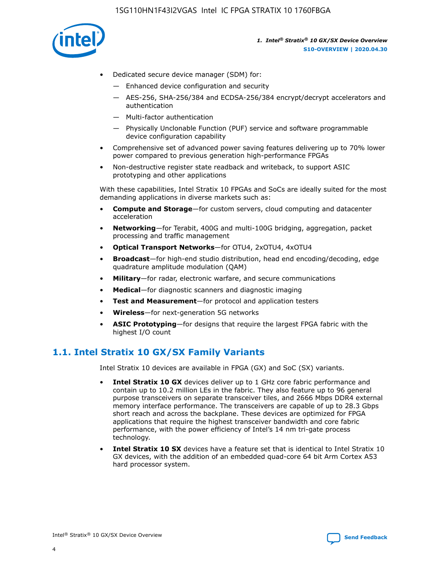

- Dedicated secure device manager (SDM) for:
	- Enhanced device configuration and security
	- AES-256, SHA-256/384 and ECDSA-256/384 encrypt/decrypt accelerators and authentication
	- Multi-factor authentication
	- Physically Unclonable Function (PUF) service and software programmable device configuration capability
- Comprehensive set of advanced power saving features delivering up to 70% lower power compared to previous generation high-performance FPGAs
- Non-destructive register state readback and writeback, to support ASIC prototyping and other applications

With these capabilities, Intel Stratix 10 FPGAs and SoCs are ideally suited for the most demanding applications in diverse markets such as:

- **Compute and Storage**—for custom servers, cloud computing and datacenter acceleration
- **Networking**—for Terabit, 400G and multi-100G bridging, aggregation, packet processing and traffic management
- **Optical Transport Networks**—for OTU4, 2xOTU4, 4xOTU4
- **Broadcast**—for high-end studio distribution, head end encoding/decoding, edge quadrature amplitude modulation (QAM)
- **Military**—for radar, electronic warfare, and secure communications
- **Medical**—for diagnostic scanners and diagnostic imaging
- **Test and Measurement**—for protocol and application testers
- **Wireless**—for next-generation 5G networks
- **ASIC Prototyping**—for designs that require the largest FPGA fabric with the highest I/O count

## **1.1. Intel Stratix 10 GX/SX Family Variants**

Intel Stratix 10 devices are available in FPGA (GX) and SoC (SX) variants.

- **Intel Stratix 10 GX** devices deliver up to 1 GHz core fabric performance and contain up to 10.2 million LEs in the fabric. They also feature up to 96 general purpose transceivers on separate transceiver tiles, and 2666 Mbps DDR4 external memory interface performance. The transceivers are capable of up to 28.3 Gbps short reach and across the backplane. These devices are optimized for FPGA applications that require the highest transceiver bandwidth and core fabric performance, with the power efficiency of Intel's 14 nm tri-gate process technology.
- **Intel Stratix 10 SX** devices have a feature set that is identical to Intel Stratix 10 GX devices, with the addition of an embedded quad-core 64 bit Arm Cortex A53 hard processor system.

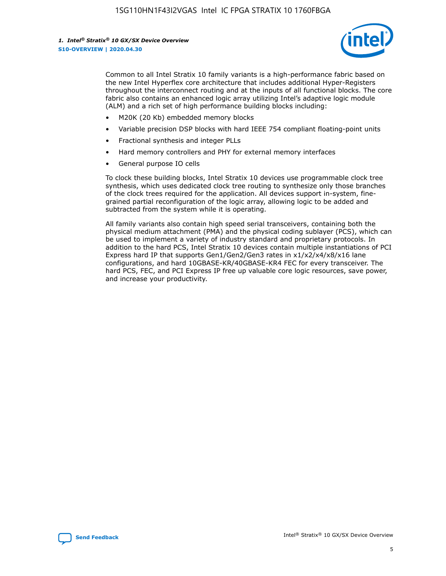

Common to all Intel Stratix 10 family variants is a high-performance fabric based on the new Intel Hyperflex core architecture that includes additional Hyper-Registers throughout the interconnect routing and at the inputs of all functional blocks. The core fabric also contains an enhanced logic array utilizing Intel's adaptive logic module (ALM) and a rich set of high performance building blocks including:

- M20K (20 Kb) embedded memory blocks
- Variable precision DSP blocks with hard IEEE 754 compliant floating-point units
- Fractional synthesis and integer PLLs
- Hard memory controllers and PHY for external memory interfaces
- General purpose IO cells

To clock these building blocks, Intel Stratix 10 devices use programmable clock tree synthesis, which uses dedicated clock tree routing to synthesize only those branches of the clock trees required for the application. All devices support in-system, finegrained partial reconfiguration of the logic array, allowing logic to be added and subtracted from the system while it is operating.

All family variants also contain high speed serial transceivers, containing both the physical medium attachment (PMA) and the physical coding sublayer (PCS), which can be used to implement a variety of industry standard and proprietary protocols. In addition to the hard PCS, Intel Stratix 10 devices contain multiple instantiations of PCI Express hard IP that supports Gen1/Gen2/Gen3 rates in x1/x2/x4/x8/x16 lane configurations, and hard 10GBASE-KR/40GBASE-KR4 FEC for every transceiver. The hard PCS, FEC, and PCI Express IP free up valuable core logic resources, save power, and increase your productivity.

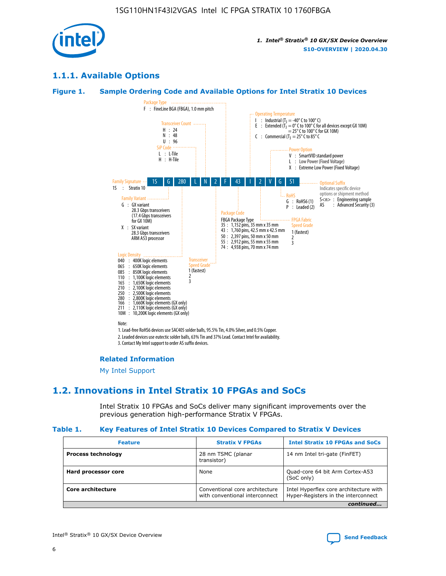

## **1.1.1. Available Options**

#### **Figure 1. Sample Ordering Code and Available Options for Intel Stratix 10 Devices**



3. Contact My Intel support to order AS suffix devices.

#### **Related Information**

[My Intel Support](https://www.intel.com/content/www/us/en/programmable/my-intel/mal-home.html)

## **1.2. Innovations in Intel Stratix 10 FPGAs and SoCs**

Intel Stratix 10 FPGAs and SoCs deliver many significant improvements over the previous generation high-performance Stratix V FPGAs.

#### **Table 1. Key Features of Intel Stratix 10 Devices Compared to Stratix V Devices**

| <b>Feature</b>            | <b>Stratix V FPGAs</b>                                                                                                                            | <b>Intel Stratix 10 FPGAs and SoCs</b>        |
|---------------------------|---------------------------------------------------------------------------------------------------------------------------------------------------|-----------------------------------------------|
| <b>Process technology</b> | 28 nm TSMC (planar<br>transistor)                                                                                                                 | 14 nm Intel tri-gate (FinFET)                 |
| Hard processor core       | None                                                                                                                                              | Quad-core 64 bit Arm Cortex-A53<br>(SoC only) |
| Core architecture         | Conventional core architecture<br>Intel Hyperflex core architecture with<br>Hyper-Registers in the interconnect<br>with conventional interconnect |                                               |
|                           |                                                                                                                                                   | continued                                     |

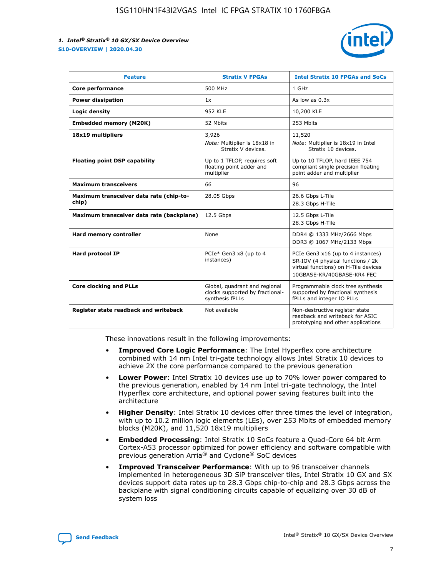

| <b>Feature</b>                                   | <b>Stratix V FPGAs</b>                                                              | <b>Intel Stratix 10 FPGAs and SoCs</b>                                                                                                       |
|--------------------------------------------------|-------------------------------------------------------------------------------------|----------------------------------------------------------------------------------------------------------------------------------------------|
| Core performance                                 | 500 MHz                                                                             | 1 GHz                                                                                                                                        |
| <b>Power dissipation</b>                         | 1x                                                                                  | As low as $0.3x$                                                                                                                             |
| Logic density                                    | <b>952 KLE</b>                                                                      | 10,200 KLE                                                                                                                                   |
| <b>Embedded memory (M20K)</b>                    | 52 Mbits                                                                            | 253 Mbits                                                                                                                                    |
| 18x19 multipliers                                | 3,926<br>Note: Multiplier is 18x18 in<br>Stratix V devices.                         | 11,520<br>Note: Multiplier is 18x19 in Intel<br>Stratix 10 devices.                                                                          |
| <b>Floating point DSP capability</b>             | Up to 1 TFLOP, requires soft<br>floating point adder and<br>multiplier              | Up to 10 TFLOP, hard IEEE 754<br>compliant single precision floating<br>point adder and multiplier                                           |
| <b>Maximum transceivers</b>                      | 66                                                                                  | 96                                                                                                                                           |
| Maximum transceiver data rate (chip-to-<br>chip) | 28.05 Gbps                                                                          | 26.6 Gbps L-Tile<br>28.3 Gbps H-Tile                                                                                                         |
| Maximum transceiver data rate (backplane)        | 12.5 Gbps                                                                           | 12.5 Gbps L-Tile<br>28.3 Gbps H-Tile                                                                                                         |
| <b>Hard memory controller</b>                    | None                                                                                | DDR4 @ 1333 MHz/2666 Mbps<br>DDR3 @ 1067 MHz/2133 Mbps                                                                                       |
| <b>Hard protocol IP</b>                          | PCIe* Gen3 x8 (up to 4<br>instances)                                                | PCIe Gen3 x16 (up to 4 instances)<br>SR-IOV (4 physical functions / 2k<br>virtual functions) on H-Tile devices<br>10GBASE-KR/40GBASE-KR4 FEC |
| <b>Core clocking and PLLs</b>                    | Global, quadrant and regional<br>clocks supported by fractional-<br>synthesis fPLLs | Programmable clock tree synthesis<br>supported by fractional synthesis<br>fPLLs and integer IO PLLs                                          |
| Register state readback and writeback            | Not available                                                                       | Non-destructive register state<br>readback and writeback for ASIC<br>prototyping and other applications                                      |

These innovations result in the following improvements:

- **Improved Core Logic Performance**: The Intel Hyperflex core architecture combined with 14 nm Intel tri-gate technology allows Intel Stratix 10 devices to achieve 2X the core performance compared to the previous generation
- **Lower Power**: Intel Stratix 10 devices use up to 70% lower power compared to the previous generation, enabled by 14 nm Intel tri-gate technology, the Intel Hyperflex core architecture, and optional power saving features built into the architecture
- **Higher Density**: Intel Stratix 10 devices offer three times the level of integration, with up to 10.2 million logic elements (LEs), over 253 Mbits of embedded memory blocks (M20K), and 11,520 18x19 multipliers
- **Embedded Processing**: Intel Stratix 10 SoCs feature a Quad-Core 64 bit Arm Cortex-A53 processor optimized for power efficiency and software compatible with previous generation Arria® and Cyclone® SoC devices
- **Improved Transceiver Performance**: With up to 96 transceiver channels implemented in heterogeneous 3D SiP transceiver tiles, Intel Stratix 10 GX and SX devices support data rates up to 28.3 Gbps chip-to-chip and 28.3 Gbps across the backplane with signal conditioning circuits capable of equalizing over 30 dB of system loss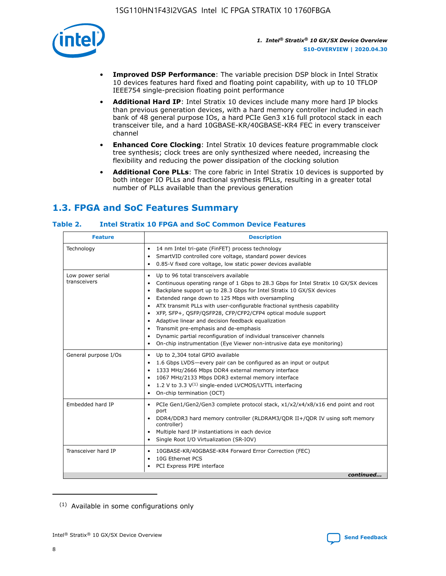

- **Improved DSP Performance**: The variable precision DSP block in Intel Stratix 10 devices features hard fixed and floating point capability, with up to 10 TFLOP IEEE754 single-precision floating point performance
- **Additional Hard IP**: Intel Stratix 10 devices include many more hard IP blocks than previous generation devices, with a hard memory controller included in each bank of 48 general purpose IOs, a hard PCIe Gen3 x16 full protocol stack in each transceiver tile, and a hard 10GBASE-KR/40GBASE-KR4 FEC in every transceiver channel
- **Enhanced Core Clocking**: Intel Stratix 10 devices feature programmable clock tree synthesis; clock trees are only synthesized where needed, increasing the flexibility and reducing the power dissipation of the clocking solution
- **Additional Core PLLs**: The core fabric in Intel Stratix 10 devices is supported by both integer IO PLLs and fractional synthesis fPLLs, resulting in a greater total number of PLLs available than the previous generation

# **1.3. FPGA and SoC Features Summary**

## **Table 2. Intel Stratix 10 FPGA and SoC Common Device Features**

| Technology<br>14 nm Intel tri-gate (FinFET) process technology<br>$\bullet$<br>SmartVID controlled core voltage, standard power devices<br>٠<br>0.85-V fixed core voltage, low static power devices available<br>٠<br>Up to 96 total transceivers available<br>Low power serial<br>٠<br>transceivers<br>Backplane support up to 28.3 Gbps for Intel Stratix 10 GX/SX devices<br>$\bullet$<br>Extended range down to 125 Mbps with oversampling<br>$\bullet$<br>• ATX transmit PLLs with user-configurable fractional synthesis capability<br>• XFP, SFP+, QSFP/QSFP28, CFP/CFP2/CFP4 optical module support<br>• Adaptive linear and decision feedback equalization<br>Transmit pre-emphasis and de-emphasis<br>Dynamic partial reconfiguration of individual transceiver channels<br>٠<br>On-chip instrumentation (Eye Viewer non-intrusive data eye monitoring)<br>$\bullet$<br>General purpose I/Os<br>Up to 2,304 total GPIO available<br>$\bullet$<br>1.6 Gbps LVDS-every pair can be configured as an input or output<br>$\bullet$<br>1333 MHz/2666 Mbps DDR4 external memory interface<br>1067 MHz/2133 Mbps DDR3 external memory interface<br>$\bullet$ 1.2 V to 3.3 V <sup>(1)</sup> single-ended LVCMOS/LVTTL interfacing | <b>Description</b><br><b>Feature</b> |                                                                                                                                                                 |  |  |  |
|-------------------------------------------------------------------------------------------------------------------------------------------------------------------------------------------------------------------------------------------------------------------------------------------------------------------------------------------------------------------------------------------------------------------------------------------------------------------------------------------------------------------------------------------------------------------------------------------------------------------------------------------------------------------------------------------------------------------------------------------------------------------------------------------------------------------------------------------------------------------------------------------------------------------------------------------------------------------------------------------------------------------------------------------------------------------------------------------------------------------------------------------------------------------------------------------------------------------------------------|--------------------------------------|-----------------------------------------------------------------------------------------------------------------------------------------------------------------|--|--|--|
|                                                                                                                                                                                                                                                                                                                                                                                                                                                                                                                                                                                                                                                                                                                                                                                                                                                                                                                                                                                                                                                                                                                                                                                                                                     |                                      |                                                                                                                                                                 |  |  |  |
|                                                                                                                                                                                                                                                                                                                                                                                                                                                                                                                                                                                                                                                                                                                                                                                                                                                                                                                                                                                                                                                                                                                                                                                                                                     |                                      | Continuous operating range of 1 Gbps to 28.3 Gbps for Intel Stratix 10 GX/SX devices                                                                            |  |  |  |
|                                                                                                                                                                                                                                                                                                                                                                                                                                                                                                                                                                                                                                                                                                                                                                                                                                                                                                                                                                                                                                                                                                                                                                                                                                     |                                      | • On-chip termination (OCT)                                                                                                                                     |  |  |  |
| Embedded hard IP<br>port<br>controller)<br>• Multiple hard IP instantiations in each device<br>• Single Root I/O Virtualization (SR-IOV)                                                                                                                                                                                                                                                                                                                                                                                                                                                                                                                                                                                                                                                                                                                                                                                                                                                                                                                                                                                                                                                                                            |                                      | • PCIe Gen1/Gen2/Gen3 complete protocol stack, x1/x2/x4/x8/x16 end point and root<br>DDR4/DDR3 hard memory controller (RLDRAM3/QDR II+/QDR IV using soft memory |  |  |  |
| Transceiver hard IP<br>10GBASE-KR/40GBASE-KR4 Forward Error Correction (FEC)<br>$\bullet$<br>10G Ethernet PCS<br>٠<br>PCI Express PIPE interface<br>٠                                                                                                                                                                                                                                                                                                                                                                                                                                                                                                                                                                                                                                                                                                                                                                                                                                                                                                                                                                                                                                                                               |                                      | continued                                                                                                                                                       |  |  |  |

<sup>(1)</sup> Available in some configurations only



8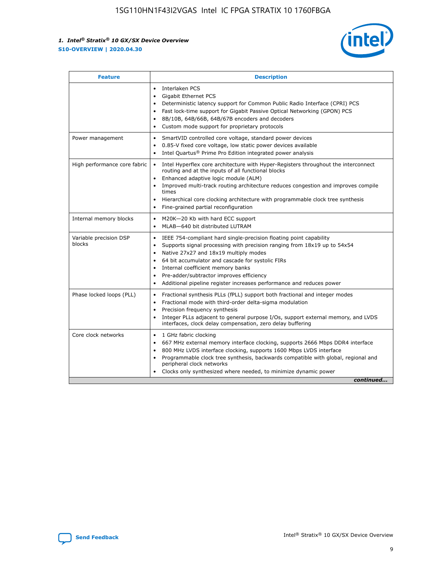

| <b>Feature</b>                   | <b>Description</b>                                                                                                                                                                                                                                                                                                                                                                                                                                                         |  |  |  |
|----------------------------------|----------------------------------------------------------------------------------------------------------------------------------------------------------------------------------------------------------------------------------------------------------------------------------------------------------------------------------------------------------------------------------------------------------------------------------------------------------------------------|--|--|--|
|                                  | Interlaken PCS<br>$\bullet$<br>Gigabit Ethernet PCS<br>$\bullet$<br>Deterministic latency support for Common Public Radio Interface (CPRI) PCS<br>$\bullet$<br>Fast lock-time support for Gigabit Passive Optical Networking (GPON) PCS<br>8B/10B, 64B/66B, 64B/67B encoders and decoders<br>$\bullet$<br>Custom mode support for proprietary protocols<br>$\bullet$                                                                                                       |  |  |  |
| Power management                 | SmartVID controlled core voltage, standard power devices<br>$\bullet$<br>0.85-V fixed core voltage, low static power devices available<br>$\bullet$<br>Intel Quartus <sup>®</sup> Prime Pro Edition integrated power analysis                                                                                                                                                                                                                                              |  |  |  |
| High performance core fabric     | Intel Hyperflex core architecture with Hyper-Registers throughout the interconnect<br>$\bullet$<br>routing and at the inputs of all functional blocks<br>Enhanced adaptive logic module (ALM)<br>$\bullet$<br>Improved multi-track routing architecture reduces congestion and improves compile<br>times<br>Hierarchical core clocking architecture with programmable clock tree synthesis<br>$\bullet$<br>Fine-grained partial reconfiguration                            |  |  |  |
| Internal memory blocks           | M20K-20 Kb with hard ECC support<br>٠<br>MLAB-640 bit distributed LUTRAM<br>$\bullet$                                                                                                                                                                                                                                                                                                                                                                                      |  |  |  |
| Variable precision DSP<br>blocks | IEEE 754-compliant hard single-precision floating point capability<br>$\bullet$<br>Supports signal processing with precision ranging from 18x19 up to 54x54<br>$\bullet$<br>Native 27x27 and 18x19 multiply modes<br>٠<br>64 bit accumulator and cascade for systolic FIRs<br>$\bullet$<br>Internal coefficient memory banks<br>Pre-adder/subtractor improves efficiency<br>$\bullet$<br>Additional pipeline register increases performance and reduces power<br>$\bullet$ |  |  |  |
| Phase locked loops (PLL)         | Fractional synthesis PLLs (fPLL) support both fractional and integer modes<br>$\bullet$<br>Fractional mode with third-order delta-sigma modulation<br>Precision frequency synthesis<br>$\bullet$<br>Integer PLLs adjacent to general purpose I/Os, support external memory, and LVDS<br>$\bullet$<br>interfaces, clock delay compensation, zero delay buffering                                                                                                            |  |  |  |
| Core clock networks              | 1 GHz fabric clocking<br>$\bullet$<br>667 MHz external memory interface clocking, supports 2666 Mbps DDR4 interface<br>$\bullet$<br>800 MHz LVDS interface clocking, supports 1600 Mbps LVDS interface<br>$\bullet$<br>Programmable clock tree synthesis, backwards compatible with global, regional and<br>$\bullet$<br>peripheral clock networks<br>Clocks only synthesized where needed, to minimize dynamic power<br>continued                                         |  |  |  |

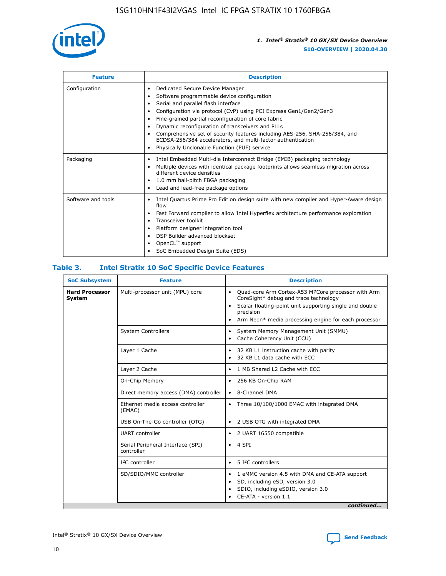

| <b>Feature</b>     | <b>Description</b>                                                                                                                                                                                                                                                                                                                                                                                                                                                                                                    |
|--------------------|-----------------------------------------------------------------------------------------------------------------------------------------------------------------------------------------------------------------------------------------------------------------------------------------------------------------------------------------------------------------------------------------------------------------------------------------------------------------------------------------------------------------------|
| Configuration      | Dedicated Secure Device Manager<br>٠<br>Software programmable device configuration<br>٠<br>Serial and parallel flash interface<br>٠<br>Configuration via protocol (CvP) using PCI Express Gen1/Gen2/Gen3<br>Fine-grained partial reconfiguration of core fabric<br>Dynamic reconfiguration of transceivers and PLLs<br>٠<br>Comprehensive set of security features including AES-256, SHA-256/384, and<br>ECDSA-256/384 accelerators, and multi-factor authentication<br>Physically Unclonable Function (PUF) service |
| Packaging          | Intel Embedded Multi-die Interconnect Bridge (EMIB) packaging technology<br>٠<br>Multiple devices with identical package footprints allows seamless migration across<br>٠<br>different device densities<br>1.0 mm ball-pitch FBGA packaging<br>٠<br>Lead and lead-free package options                                                                                                                                                                                                                                |
| Software and tools | Intel Quartus Prime Pro Edition design suite with new compiler and Hyper-Aware design<br>flow<br>Fast Forward compiler to allow Intel Hyperflex architecture performance exploration<br>٠<br>Transceiver toolkit<br>Platform designer integration tool<br>DSP Builder advanced blockset<br>OpenCL <sup>™</sup> support<br>SoC Embedded Design Suite (EDS)                                                                                                                                                             |

## **Table 3. Intel Stratix 10 SoC Specific Device Features**

| <b>Hard Processor</b><br>Multi-processor unit (MPU) core<br>Quad-core Arm Cortex-A53 MPCore processor with Arm<br>$\bullet$<br>CoreSight* debug and trace technology<br>System<br>Scalar floating-point unit supporting single and double<br>$\bullet$<br>precision<br>Arm Neon* media processing engine for each processor<br>$\bullet$<br><b>System Controllers</b><br>System Memory Management Unit (SMMU)<br>$\bullet$<br>Cache Coherency Unit (CCU)<br>$\bullet$<br>Layer 1 Cache<br>32 KB L1 instruction cache with parity<br>$\bullet$<br>32 KB L1 data cache with ECC<br>$\bullet$<br>Layer 2 Cache<br>1 MB Shared L2 Cache with ECC<br>$\bullet$<br>On-Chip Memory<br>256 KB On-Chip RAM<br>٠<br>Direct memory access (DMA) controller<br>8-Channel DMA<br>$\bullet$<br>Ethernet media access controller<br>Three 10/100/1000 EMAC with integrated DMA<br>$\bullet$<br>(EMAC)<br>USB On-The-Go controller (OTG)<br>2 USB OTG with integrated DMA<br>$\bullet$<br><b>UART</b> controller<br>2 UART 16550 compatible<br>$\bullet$<br>Serial Peripheral Interface (SPI)<br>4 SPI<br>$\bullet$<br>controller<br>$I2C$ controller<br>5 I <sup>2</sup> C controllers<br>$\bullet$<br>SD/SDIO/MMC controller<br>1 eMMC version 4.5 with DMA and CE-ATA support<br>$\bullet$<br>SD, including eSD, version 3.0<br>$\bullet$<br>SDIO, including eSDIO, version 3.0<br>$\bullet$<br>CE-ATA - version 1.1 | <b>SoC Subsystem</b> | <b>Feature</b> | <b>Description</b> |  |  |
|---------------------------------------------------------------------------------------------------------------------------------------------------------------------------------------------------------------------------------------------------------------------------------------------------------------------------------------------------------------------------------------------------------------------------------------------------------------------------------------------------------------------------------------------------------------------------------------------------------------------------------------------------------------------------------------------------------------------------------------------------------------------------------------------------------------------------------------------------------------------------------------------------------------------------------------------------------------------------------------------------------------------------------------------------------------------------------------------------------------------------------------------------------------------------------------------------------------------------------------------------------------------------------------------------------------------------------------------------------------------------------------------------------|----------------------|----------------|--------------------|--|--|
|                                                                                                                                                                                                                                                                                                                                                                                                                                                                                                                                                                                                                                                                                                                                                                                                                                                                                                                                                                                                                                                                                                                                                                                                                                                                                                                                                                                                         |                      |                |                    |  |  |
|                                                                                                                                                                                                                                                                                                                                                                                                                                                                                                                                                                                                                                                                                                                                                                                                                                                                                                                                                                                                                                                                                                                                                                                                                                                                                                                                                                                                         |                      |                |                    |  |  |
|                                                                                                                                                                                                                                                                                                                                                                                                                                                                                                                                                                                                                                                                                                                                                                                                                                                                                                                                                                                                                                                                                                                                                                                                                                                                                                                                                                                                         |                      |                |                    |  |  |
|                                                                                                                                                                                                                                                                                                                                                                                                                                                                                                                                                                                                                                                                                                                                                                                                                                                                                                                                                                                                                                                                                                                                                                                                                                                                                                                                                                                                         |                      |                |                    |  |  |
|                                                                                                                                                                                                                                                                                                                                                                                                                                                                                                                                                                                                                                                                                                                                                                                                                                                                                                                                                                                                                                                                                                                                                                                                                                                                                                                                                                                                         |                      |                |                    |  |  |
|                                                                                                                                                                                                                                                                                                                                                                                                                                                                                                                                                                                                                                                                                                                                                                                                                                                                                                                                                                                                                                                                                                                                                                                                                                                                                                                                                                                                         |                      |                |                    |  |  |
|                                                                                                                                                                                                                                                                                                                                                                                                                                                                                                                                                                                                                                                                                                                                                                                                                                                                                                                                                                                                                                                                                                                                                                                                                                                                                                                                                                                                         |                      |                |                    |  |  |
|                                                                                                                                                                                                                                                                                                                                                                                                                                                                                                                                                                                                                                                                                                                                                                                                                                                                                                                                                                                                                                                                                                                                                                                                                                                                                                                                                                                                         |                      |                |                    |  |  |
|                                                                                                                                                                                                                                                                                                                                                                                                                                                                                                                                                                                                                                                                                                                                                                                                                                                                                                                                                                                                                                                                                                                                                                                                                                                                                                                                                                                                         |                      |                |                    |  |  |
|                                                                                                                                                                                                                                                                                                                                                                                                                                                                                                                                                                                                                                                                                                                                                                                                                                                                                                                                                                                                                                                                                                                                                                                                                                                                                                                                                                                                         |                      |                |                    |  |  |
|                                                                                                                                                                                                                                                                                                                                                                                                                                                                                                                                                                                                                                                                                                                                                                                                                                                                                                                                                                                                                                                                                                                                                                                                                                                                                                                                                                                                         |                      |                |                    |  |  |
| continued                                                                                                                                                                                                                                                                                                                                                                                                                                                                                                                                                                                                                                                                                                                                                                                                                                                                                                                                                                                                                                                                                                                                                                                                                                                                                                                                                                                               |                      |                |                    |  |  |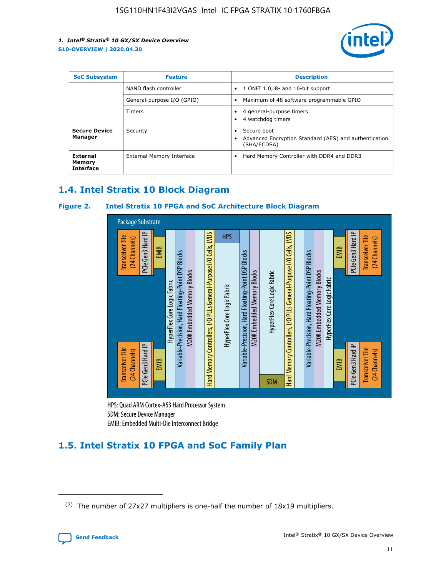

| <b>SoC Subsystem</b>                   | <b>Feature</b>             | <b>Description</b>                                                                                    |  |  |
|----------------------------------------|----------------------------|-------------------------------------------------------------------------------------------------------|--|--|
|                                        | NAND flash controller      | 1 ONFI 1.0, 8- and 16-bit support<br>$\bullet$                                                        |  |  |
|                                        | General-purpose I/O (GPIO) | Maximum of 48 software programmable GPIO<br>$\bullet$                                                 |  |  |
|                                        | Timers                     | 4 general-purpose timers<br>4 watchdog timers<br>٠                                                    |  |  |
| <b>Secure Device</b><br>Manager        | Security                   | Secure boot<br>$\bullet$<br>Advanced Encryption Standard (AES) and authentication<br>٠<br>(SHA/ECDSA) |  |  |
| External<br>Memory<br><b>Interface</b> | External Memory Interface  | Hard Memory Controller with DDR4 and DDR3<br>$\bullet$                                                |  |  |

## **1.4. Intel Stratix 10 Block Diagram**

## **Figure 2. Intel Stratix 10 FPGA and SoC Architecture Block Diagram**



HPS: Quad ARM Cortex-A53 Hard Processor System SDM: Secure Device Manager

# **1.5. Intel Stratix 10 FPGA and SoC Family Plan**

<sup>(2)</sup> The number of 27x27 multipliers is one-half the number of 18x19 multipliers.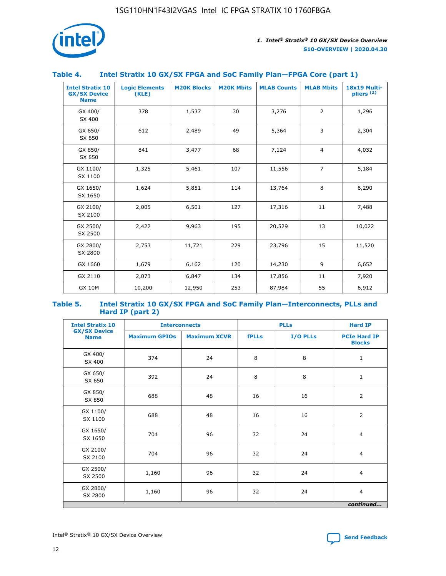

## **Table 4. Intel Stratix 10 GX/SX FPGA and SoC Family Plan—FPGA Core (part 1)**

| <b>Intel Stratix 10</b><br><b>GX/SX Device</b><br><b>Name</b> | <b>Logic Elements</b><br>(KLE) | <b>M20K Blocks</b> | <b>M20K Mbits</b> | <b>MLAB Counts</b> | <b>MLAB Mbits</b> | 18x19 Multi-<br>pliers <sup>(2)</sup> |
|---------------------------------------------------------------|--------------------------------|--------------------|-------------------|--------------------|-------------------|---------------------------------------|
| GX 400/<br>SX 400                                             | 378                            | 1,537              | 30                | 3,276              | $\overline{2}$    | 1,296                                 |
| GX 650/<br>SX 650                                             | 612                            | 2,489              | 49                | 5,364              | 3                 | 2,304                                 |
| GX 850/<br>SX 850                                             | 841                            | 3,477              | 68                | 7,124              | $\overline{4}$    | 4,032                                 |
| GX 1100/<br>SX 1100                                           | 1,325                          | 5,461              | 107               | 11,556             | $\overline{7}$    | 5,184                                 |
| GX 1650/<br>SX 1650                                           | 1,624                          | 5,851              | 114               | 13,764             | 8                 | 6,290                                 |
| GX 2100/<br>SX 2100                                           | 2,005                          | 6,501              | 127               | 17,316             | 11                | 7,488                                 |
| GX 2500/<br>SX 2500                                           | 2,422                          | 9,963              | 195               | 20,529             | 13                | 10,022                                |
| GX 2800/<br>SX 2800                                           | 2,753                          | 11,721             | 229               | 23,796             | 15                | 11,520                                |
| GX 1660                                                       | 1,679                          | 6,162              | 120               | 14,230             | 9                 | 6,652                                 |
| GX 2110                                                       | 2,073                          | 6,847              | 134               | 17,856             | 11                | 7,920                                 |
| <b>GX 10M</b>                                                 | 10,200                         | 12,950             | 253               | 87,984             | 55                | 6,912                                 |

#### **Table 5. Intel Stratix 10 GX/SX FPGA and SoC Family Plan—Interconnects, PLLs and Hard IP (part 2)**

| <b>Intel Stratix 10</b>            | <b>Interconnects</b> |                     | <b>PLLs</b>  |          | <b>Hard IP</b>                       |
|------------------------------------|----------------------|---------------------|--------------|----------|--------------------------------------|
| <b>GX/SX Device</b><br><b>Name</b> | <b>Maximum GPIOs</b> | <b>Maximum XCVR</b> | <b>fPLLs</b> | I/O PLLs | <b>PCIe Hard IP</b><br><b>Blocks</b> |
| GX 400/<br>SX 400                  | 374                  | 24                  | 8            | 8        | $\mathbf{1}$                         |
| GX 650/<br>SX 650                  | 392                  | 24                  | 8            | 8        | $\mathbf{1}$                         |
| GX 850/<br>SX 850                  | 688                  | 48                  | 16           | 16       | 2                                    |
| GX 1100/<br>SX 1100                | 688                  | 48                  | 16           | 16       | 2                                    |
| GX 1650/<br>SX 1650                | 704                  | 96                  | 32           | 24       | $\overline{4}$                       |
| GX 2100/<br>SX 2100                | 704                  | 96                  | 32           | 24       | 4                                    |
| GX 2500/<br>SX 2500                | 1,160                | 96                  | 32           | 24       | $\overline{4}$                       |
| GX 2800/<br>SX 2800                | 1,160                | 96                  | 32           | 24       | $\overline{4}$                       |
|                                    |                      |                     |              |          | continued                            |

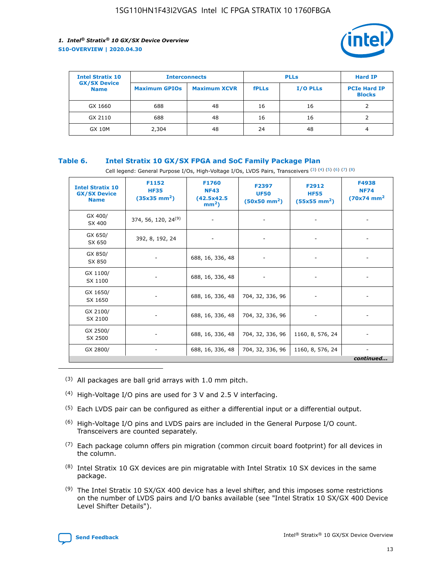

| <b>Intel Stratix 10</b><br><b>GX/SX Device</b> | <b>Interconnects</b> |                     | <b>PLLs</b>  |                 | <b>Hard IP</b>                       |
|------------------------------------------------|----------------------|---------------------|--------------|-----------------|--------------------------------------|
| <b>Name</b>                                    | <b>Maximum GPIOs</b> | <b>Maximum XCVR</b> | <b>fPLLs</b> | <b>I/O PLLs</b> | <b>PCIe Hard IP</b><br><b>Blocks</b> |
| GX 1660                                        | 688                  | 48                  | 16           | 16              |                                      |
| GX 2110                                        | 688                  | 48                  | 16           | 16              |                                      |
| <b>GX 10M</b>                                  | 2,304                | 48                  | 24           | 48              | 4                                    |

## **Table 6. Intel Stratix 10 GX/SX FPGA and SoC Family Package Plan**

Cell legend: General Purpose I/Os, High-Voltage I/Os, LVDS Pairs, Transceivers (3) (4) (5) (6) (7) (8)

| <b>Intel Stratix 10</b><br><b>GX/SX Device</b><br><b>Name</b> | F1152<br><b>HF35</b><br>$(35x35 \text{ mm}^2)$ | F1760<br><b>NF43</b><br>(42.5x42.5<br>$mm2$ ) | F2397<br><b>UF50</b><br>$(50x50 \text{ mm}^2)$ | F2912<br><b>HF55</b><br>$(55x55$ mm <sup>2</sup> ) | F4938<br><b>NF74</b><br>$(70x74)$ mm <sup>2</sup> |
|---------------------------------------------------------------|------------------------------------------------|-----------------------------------------------|------------------------------------------------|----------------------------------------------------|---------------------------------------------------|
| GX 400/<br>SX 400                                             | 374, 56, 120, 24 <sup>(9)</sup>                | $\overline{\phantom{a}}$                      | $\overline{\phantom{a}}$                       | ۰                                                  |                                                   |
| GX 650/<br>SX 650                                             | 392, 8, 192, 24                                | $\overline{\phantom{a}}$                      | $\overline{\phantom{a}}$                       |                                                    |                                                   |
| GX 850/<br>SX 850                                             | ۰.                                             | 688, 16, 336, 48                              |                                                |                                                    |                                                   |
| GX 1100/<br>SX 1100                                           |                                                | 688, 16, 336, 48                              |                                                |                                                    |                                                   |
| GX 1650/<br>SX 1650                                           |                                                | 688, 16, 336, 48                              | 704, 32, 336, 96                               |                                                    |                                                   |
| GX 2100/<br>SX 2100                                           | -                                              | 688, 16, 336, 48                              | 704, 32, 336, 96                               | $\overline{\phantom{a}}$                           |                                                   |
| GX 2500/<br>SX 2500                                           |                                                | 688, 16, 336, 48                              | 704, 32, 336, 96                               | 1160, 8, 576, 24                                   |                                                   |
| GX 2800/                                                      | -                                              | 688, 16, 336, 48                              | 704, 32, 336, 96                               | 1160, 8, 576, 24                                   | $\overline{\phantom{a}}$<br>continued             |

- (3) All packages are ball grid arrays with 1.0 mm pitch.
- (4) High-Voltage I/O pins are used for 3 V and 2.5 V interfacing.
- $(5)$  Each LVDS pair can be configured as either a differential input or a differential output.
- (6) High-Voltage I/O pins and LVDS pairs are included in the General Purpose I/O count. Transceivers are counted separately.
- $(7)$  Each package column offers pin migration (common circuit board footprint) for all devices in the column.
- $(8)$  Intel Stratix 10 GX devices are pin migratable with Intel Stratix 10 SX devices in the same package.
- $(9)$  The Intel Stratix 10 SX/GX 400 device has a level shifter, and this imposes some restrictions on the number of LVDS pairs and I/O banks available (see "Intel Stratix 10 SX/GX 400 Device Level Shifter Details").

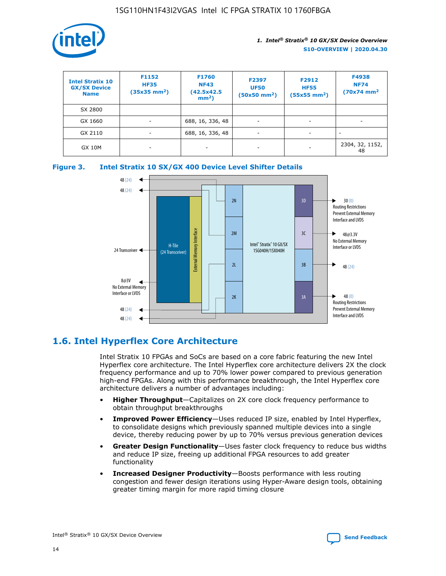

| <b>Intel Stratix 10</b><br><b>GX/SX Device</b><br><b>Name</b> | F1152<br><b>HF35</b><br>$(35x35)$ mm <sup>2</sup> ) | F1760<br><b>NF43</b><br>(42.5x42.5<br>$mm2$ ) | F2397<br><b>UF50</b><br>$(50x50 \text{ mm}^2)$ | F2912<br><b>HF55</b><br>$(55x55$ mm <sup>2</sup> ) | F4938<br><b>NF74</b><br>$(70x74)$ mm <sup>2</sup> |
|---------------------------------------------------------------|-----------------------------------------------------|-----------------------------------------------|------------------------------------------------|----------------------------------------------------|---------------------------------------------------|
| SX 2800                                                       |                                                     |                                               |                                                |                                                    |                                                   |
| GX 1660                                                       | -                                                   | 688, 16, 336, 48                              | $\overline{\phantom{a}}$                       |                                                    |                                                   |
| GX 2110                                                       |                                                     | 688, 16, 336, 48                              | $\overline{\phantom{a}}$                       |                                                    |                                                   |
| <b>GX 10M</b>                                                 | ۰                                                   |                                               |                                                |                                                    | 2304, 32, 1152,<br>48                             |





## **1.6. Intel Hyperflex Core Architecture**

Intel Stratix 10 FPGAs and SoCs are based on a core fabric featuring the new Intel Hyperflex core architecture. The Intel Hyperflex core architecture delivers 2X the clock frequency performance and up to 70% lower power compared to previous generation high-end FPGAs. Along with this performance breakthrough, the Intel Hyperflex core architecture delivers a number of advantages including:

- **Higher Throughput**—Capitalizes on 2X core clock frequency performance to obtain throughput breakthroughs
- **Improved Power Efficiency**—Uses reduced IP size, enabled by Intel Hyperflex, to consolidate designs which previously spanned multiple devices into a single device, thereby reducing power by up to 70% versus previous generation devices
- **Greater Design Functionality**—Uses faster clock frequency to reduce bus widths and reduce IP size, freeing up additional FPGA resources to add greater functionality
- **Increased Designer Productivity**—Boosts performance with less routing congestion and fewer design iterations using Hyper-Aware design tools, obtaining greater timing margin for more rapid timing closure

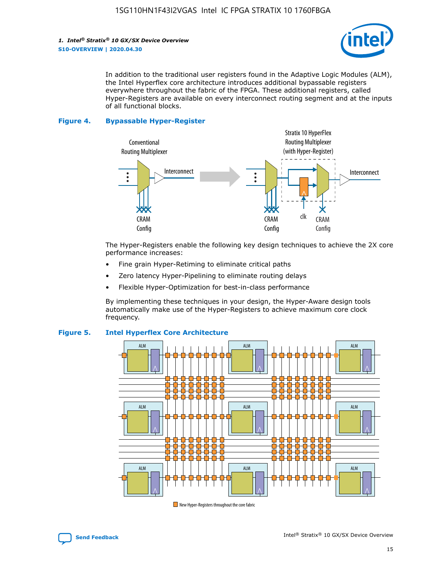

In addition to the traditional user registers found in the Adaptive Logic Modules (ALM), the Intel Hyperflex core architecture introduces additional bypassable registers everywhere throughout the fabric of the FPGA. These additional registers, called Hyper-Registers are available on every interconnect routing segment and at the inputs of all functional blocks.

#### **Figure 4. Bypassable Hyper-Register**



The Hyper-Registers enable the following key design techniques to achieve the 2X core performance increases:

- Fine grain Hyper-Retiming to eliminate critical paths
- Zero latency Hyper-Pipelining to eliminate routing delays
- Flexible Hyper-Optimization for best-in-class performance

By implementing these techniques in your design, the Hyper-Aware design tools automatically make use of the Hyper-Registers to achieve maximum core clock frequency.



## **Figure 5. Intel Hyperflex Core Architecture**

New Hyper-Registers throughout the core fabric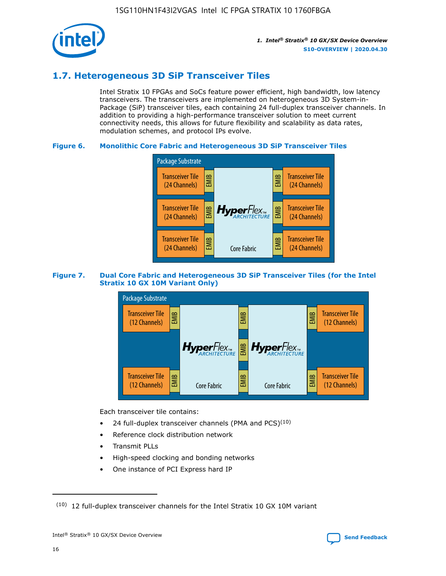

## **1.7. Heterogeneous 3D SiP Transceiver Tiles**

Intel Stratix 10 FPGAs and SoCs feature power efficient, high bandwidth, low latency transceivers. The transceivers are implemented on heterogeneous 3D System-in-Package (SiP) transceiver tiles, each containing 24 full-duplex transceiver channels. In addition to providing a high-performance transceiver solution to meet current connectivity needs, this allows for future flexibility and scalability as data rates, modulation schemes, and protocol IPs evolve.

## **Figure 6. Monolithic Core Fabric and Heterogeneous 3D SiP Transceiver Tiles**



## **Figure 7. Dual Core Fabric and Heterogeneous 3D SiP Transceiver Tiles (for the Intel Stratix 10 GX 10M Variant Only)**



Each transceiver tile contains:

- 24 full-duplex transceiver channels (PMA and PCS) $(10)$
- Reference clock distribution network
- Transmit PLLs
- High-speed clocking and bonding networks
- One instance of PCI Express hard IP

 $(10)$  12 full-duplex transceiver channels for the Intel Stratix 10 GX 10M variant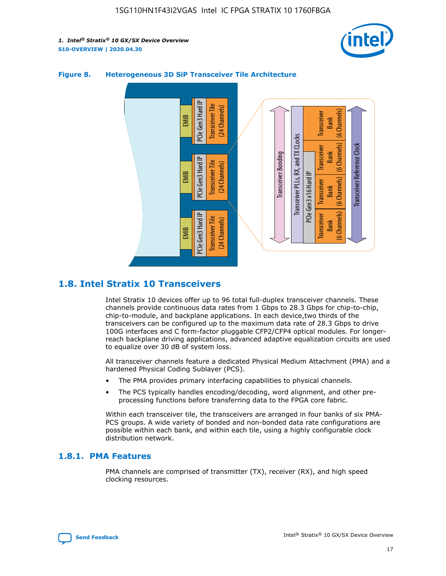



## **Figure 8. Heterogeneous 3D SiP Transceiver Tile Architecture**

## **1.8. Intel Stratix 10 Transceivers**

Intel Stratix 10 devices offer up to 96 total full-duplex transceiver channels. These channels provide continuous data rates from 1 Gbps to 28.3 Gbps for chip-to-chip, chip-to-module, and backplane applications. In each device,two thirds of the transceivers can be configured up to the maximum data rate of 28.3 Gbps to drive 100G interfaces and C form-factor pluggable CFP2/CFP4 optical modules. For longerreach backplane driving applications, advanced adaptive equalization circuits are used to equalize over 30 dB of system loss.

All transceiver channels feature a dedicated Physical Medium Attachment (PMA) and a hardened Physical Coding Sublayer (PCS).

- The PMA provides primary interfacing capabilities to physical channels.
- The PCS typically handles encoding/decoding, word alignment, and other preprocessing functions before transferring data to the FPGA core fabric.

Within each transceiver tile, the transceivers are arranged in four banks of six PMA-PCS groups. A wide variety of bonded and non-bonded data rate configurations are possible within each bank, and within each tile, using a highly configurable clock distribution network.

## **1.8.1. PMA Features**

PMA channels are comprised of transmitter (TX), receiver (RX), and high speed clocking resources.

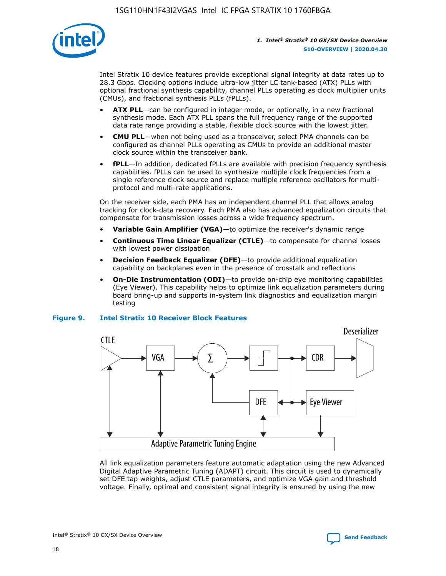

Intel Stratix 10 device features provide exceptional signal integrity at data rates up to 28.3 Gbps. Clocking options include ultra-low jitter LC tank-based (ATX) PLLs with optional fractional synthesis capability, channel PLLs operating as clock multiplier units (CMUs), and fractional synthesis PLLs (fPLLs).

- **ATX PLL**—can be configured in integer mode, or optionally, in a new fractional synthesis mode. Each ATX PLL spans the full frequency range of the supported data rate range providing a stable, flexible clock source with the lowest jitter.
- **CMU PLL**—when not being used as a transceiver, select PMA channels can be configured as channel PLLs operating as CMUs to provide an additional master clock source within the transceiver bank.
- **fPLL**—In addition, dedicated fPLLs are available with precision frequency synthesis capabilities. fPLLs can be used to synthesize multiple clock frequencies from a single reference clock source and replace multiple reference oscillators for multiprotocol and multi-rate applications.

On the receiver side, each PMA has an independent channel PLL that allows analog tracking for clock-data recovery. Each PMA also has advanced equalization circuits that compensate for transmission losses across a wide frequency spectrum.

- **Variable Gain Amplifier (VGA)**—to optimize the receiver's dynamic range
- **Continuous Time Linear Equalizer (CTLE)**—to compensate for channel losses with lowest power dissipation
- **Decision Feedback Equalizer (DFE)**—to provide additional equalization capability on backplanes even in the presence of crosstalk and reflections
- **On-Die Instrumentation (ODI)**—to provide on-chip eye monitoring capabilities (Eye Viewer). This capability helps to optimize link equalization parameters during board bring-up and supports in-system link diagnostics and equalization margin testing

#### **Figure 9. Intel Stratix 10 Receiver Block Features**



All link equalization parameters feature automatic adaptation using the new Advanced Digital Adaptive Parametric Tuning (ADAPT) circuit. This circuit is used to dynamically set DFE tap weights, adjust CTLE parameters, and optimize VGA gain and threshold voltage. Finally, optimal and consistent signal integrity is ensured by using the new



Intel<sup>®</sup> Stratix<sup>®</sup> 10 GX/SX Device Overview **[Send Feedback](mailto:FPGAtechdocfeedback@intel.com?subject=Feedback%20on%20Intel%20Stratix%2010%20GX/SX%20Device%20Overview%20(S10-OVERVIEW%202020.04.30)&body=We%20appreciate%20your%20feedback.%20In%20your%20comments,%20also%20specify%20the%20page%20number%20or%20paragraph.%20Thank%20you.)** Send Feedback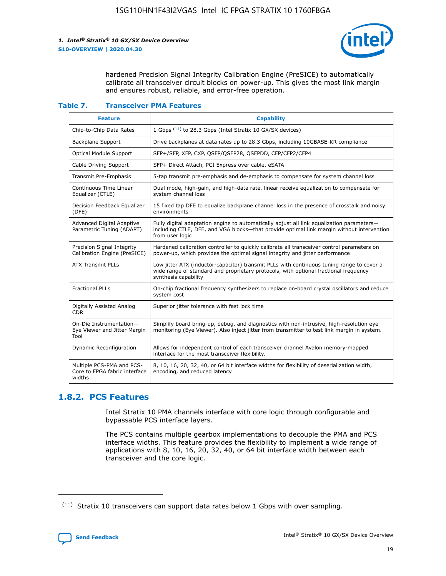

hardened Precision Signal Integrity Calibration Engine (PreSICE) to automatically calibrate all transceiver circuit blocks on power-up. This gives the most link margin and ensures robust, reliable, and error-free operation.

#### **Table 7. Transceiver PMA Features**

| <b>Feature</b>                                                       | <b>Capability</b>                                                                                                                                                                                         |
|----------------------------------------------------------------------|-----------------------------------------------------------------------------------------------------------------------------------------------------------------------------------------------------------|
| Chip-to-Chip Data Rates                                              | 1 Gbps (11) to 28.3 Gbps (Intel Stratix 10 GX/SX devices)                                                                                                                                                 |
| <b>Backplane Support</b>                                             | Drive backplanes at data rates up to 28.3 Gbps, including 10GBASE-KR compliance                                                                                                                           |
| Optical Module Support                                               | SFP+/SFP, XFP, CXP, QSFP/QSFP28, QSFPDD, CFP/CFP2/CFP4                                                                                                                                                    |
| Cable Driving Support                                                | SFP+ Direct Attach, PCI Express over cable, eSATA                                                                                                                                                         |
| <b>Transmit Pre-Emphasis</b>                                         | 5-tap transmit pre-emphasis and de-emphasis to compensate for system channel loss                                                                                                                         |
| Continuous Time Linear<br>Equalizer (CTLE)                           | Dual mode, high-gain, and high-data rate, linear receive equalization to compensate for<br>system channel loss                                                                                            |
| Decision Feedback Equalizer<br>(DFE)                                 | 15 fixed tap DFE to equalize backplane channel loss in the presence of crosstalk and noisy<br>environments                                                                                                |
| Advanced Digital Adaptive<br>Parametric Tuning (ADAPT)               | Fully digital adaptation engine to automatically adjust all link equalization parameters-<br>including CTLE, DFE, and VGA blocks-that provide optimal link margin without intervention<br>from user logic |
| Precision Signal Integrity<br>Calibration Engine (PreSICE)           | Hardened calibration controller to quickly calibrate all transceiver control parameters on<br>power-up, which provides the optimal signal integrity and jitter performance                                |
| <b>ATX Transmit PLLs</b>                                             | Low jitter ATX (inductor-capacitor) transmit PLLs with continuous tuning range to cover a<br>wide range of standard and proprietary protocols, with optional fractional frequency<br>synthesis capability |
| <b>Fractional PLLs</b>                                               | On-chip fractional frequency synthesizers to replace on-board crystal oscillators and reduce<br>system cost                                                                                               |
| Digitally Assisted Analog<br>CDR.                                    | Superior jitter tolerance with fast lock time                                                                                                                                                             |
| On-Die Instrumentation-<br>Eye Viewer and Jitter Margin<br>Tool      | Simplify board bring-up, debug, and diagnostics with non-intrusive, high-resolution eye<br>monitoring (Eye Viewer). Also inject jitter from transmitter to test link margin in system.                    |
| Dynamic Reconfiguration                                              | Allows for independent control of each transceiver channel Avalon memory-mapped<br>interface for the most transceiver flexibility.                                                                        |
| Multiple PCS-PMA and PCS-<br>Core to FPGA fabric interface<br>widths | 8, 10, 16, 20, 32, 40, or 64 bit interface widths for flexibility of deserialization width,<br>encoding, and reduced latency                                                                              |

## **1.8.2. PCS Features**

Intel Stratix 10 PMA channels interface with core logic through configurable and bypassable PCS interface layers.

The PCS contains multiple gearbox implementations to decouple the PMA and PCS interface widths. This feature provides the flexibility to implement a wide range of applications with 8, 10, 16, 20, 32, 40, or 64 bit interface width between each transceiver and the core logic.

 $(11)$  Stratix 10 transceivers can support data rates below 1 Gbps with over sampling.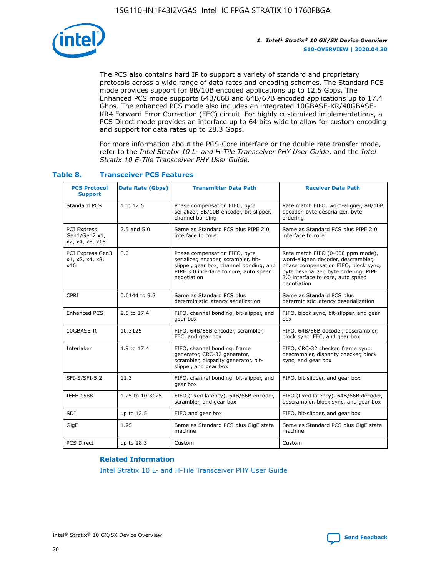

The PCS also contains hard IP to support a variety of standard and proprietary protocols across a wide range of data rates and encoding schemes. The Standard PCS mode provides support for 8B/10B encoded applications up to 12.5 Gbps. The Enhanced PCS mode supports 64B/66B and 64B/67B encoded applications up to 17.4 Gbps. The enhanced PCS mode also includes an integrated 10GBASE-KR/40GBASE-KR4 Forward Error Correction (FEC) circuit. For highly customized implementations, a PCS Direct mode provides an interface up to 64 bits wide to allow for custom encoding and support for data rates up to 28.3 Gbps.

For more information about the PCS-Core interface or the double rate transfer mode, refer to the *Intel Stratix 10 L- and H-Tile Transceiver PHY User Guide*, and the *Intel Stratix 10 E-Tile Transceiver PHY User Guide*.

| <b>PCS Protocol</b><br><b>Support</b>           | Data Rate (Gbps) | <b>Transmitter Data Path</b>                                                                                                                                              | <b>Receiver Data Path</b>                                                                                                                                                                                      |
|-------------------------------------------------|------------------|---------------------------------------------------------------------------------------------------------------------------------------------------------------------------|----------------------------------------------------------------------------------------------------------------------------------------------------------------------------------------------------------------|
| Standard PCS                                    | 1 to 12.5        | Phase compensation FIFO, byte<br>serializer, 8B/10B encoder, bit-slipper,<br>channel bonding                                                                              | Rate match FIFO, word-aligner, 8B/10B<br>decoder, byte deserializer, byte<br>ordering                                                                                                                          |
| PCI Express<br>Gen1/Gen2 x1,<br>x2, x4, x8, x16 | $2.5$ and $5.0$  | Same as Standard PCS plus PIPE 2.0<br>interface to core                                                                                                                   | Same as Standard PCS plus PIPE 2.0<br>interface to core                                                                                                                                                        |
| PCI Express Gen3<br>x1, x2, x4, x8,<br>x16      | 8.0              | Phase compensation FIFO, byte<br>serializer, encoder, scrambler, bit-<br>slipper, gear box, channel bonding, and<br>PIPE 3.0 interface to core, auto speed<br>negotiation | Rate match FIFO (0-600 ppm mode),<br>word-aligner, decoder, descrambler,<br>phase compensation FIFO, block sync,<br>byte deserializer, byte ordering, PIPE<br>3.0 interface to core, auto speed<br>negotiation |
| CPRI                                            | 0.6144 to 9.8    | Same as Standard PCS plus<br>deterministic latency serialization                                                                                                          | Same as Standard PCS plus<br>deterministic latency deserialization                                                                                                                                             |
| <b>Enhanced PCS</b>                             | 2.5 to 17.4      | FIFO, channel bonding, bit-slipper, and<br>gear box                                                                                                                       | FIFO, block sync, bit-slipper, and gear<br>box                                                                                                                                                                 |
| 10GBASE-R                                       | 10.3125          | FIFO, 64B/66B encoder, scrambler,<br>FEC, and gear box                                                                                                                    | FIFO, 64B/66B decoder, descrambler,<br>block sync, FEC, and gear box                                                                                                                                           |
| Interlaken                                      | 4.9 to 17.4      | FIFO, channel bonding, frame<br>generator, CRC-32 generator,<br>scrambler, disparity generator, bit-<br>slipper, and gear box                                             | FIFO, CRC-32 checker, frame sync,<br>descrambler, disparity checker, block<br>sync, and gear box                                                                                                               |
| SFI-S/SFI-5.2                                   | 11.3             | FIFO, channel bonding, bit-slipper, and<br>gear box                                                                                                                       | FIFO, bit-slipper, and gear box                                                                                                                                                                                |
| <b>IEEE 1588</b>                                | 1.25 to 10.3125  | FIFO (fixed latency), 64B/66B encoder,<br>scrambler, and gear box                                                                                                         | FIFO (fixed latency), 64B/66B decoder,<br>descrambler, block sync, and gear box                                                                                                                                |
| SDI                                             | up to 12.5       | FIFO and gear box                                                                                                                                                         | FIFO, bit-slipper, and gear box                                                                                                                                                                                |
| GigE                                            | 1.25             | Same as Standard PCS plus GigE state<br>machine                                                                                                                           | Same as Standard PCS plus GigE state<br>machine                                                                                                                                                                |
| <b>PCS Direct</b>                               | up to 28.3       | Custom                                                                                                                                                                    | Custom                                                                                                                                                                                                         |

## **Table 8. Transceiver PCS Features**

#### **Related Information**

[Intel Stratix 10 L- and H-Tile Transceiver PHY User Guide](https://www.altera.com/documentation/wry1479165198810.html)

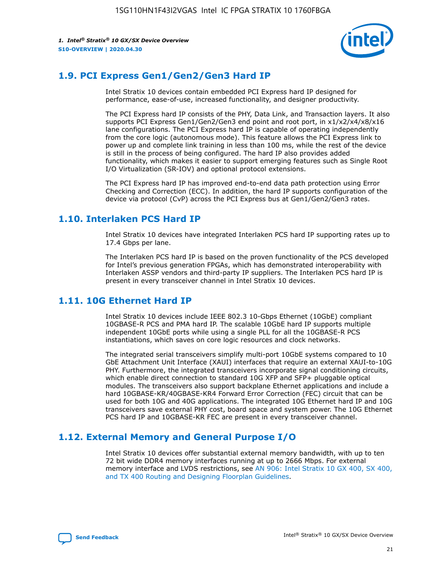

## **1.9. PCI Express Gen1/Gen2/Gen3 Hard IP**

Intel Stratix 10 devices contain embedded PCI Express hard IP designed for performance, ease-of-use, increased functionality, and designer productivity.

The PCI Express hard IP consists of the PHY, Data Link, and Transaction layers. It also supports PCI Express Gen1/Gen2/Gen3 end point and root port, in x1/x2/x4/x8/x16 lane configurations. The PCI Express hard IP is capable of operating independently from the core logic (autonomous mode). This feature allows the PCI Express link to power up and complete link training in less than 100 ms, while the rest of the device is still in the process of being configured. The hard IP also provides added functionality, which makes it easier to support emerging features such as Single Root I/O Virtualization (SR-IOV) and optional protocol extensions.

The PCI Express hard IP has improved end-to-end data path protection using Error Checking and Correction (ECC). In addition, the hard IP supports configuration of the device via protocol (CvP) across the PCI Express bus at Gen1/Gen2/Gen3 rates.

## **1.10. Interlaken PCS Hard IP**

Intel Stratix 10 devices have integrated Interlaken PCS hard IP supporting rates up to 17.4 Gbps per lane.

The Interlaken PCS hard IP is based on the proven functionality of the PCS developed for Intel's previous generation FPGAs, which has demonstrated interoperability with Interlaken ASSP vendors and third-party IP suppliers. The Interlaken PCS hard IP is present in every transceiver channel in Intel Stratix 10 devices.

## **1.11. 10G Ethernet Hard IP**

Intel Stratix 10 devices include IEEE 802.3 10-Gbps Ethernet (10GbE) compliant 10GBASE-R PCS and PMA hard IP. The scalable 10GbE hard IP supports multiple independent 10GbE ports while using a single PLL for all the 10GBASE-R PCS instantiations, which saves on core logic resources and clock networks.

The integrated serial transceivers simplify multi-port 10GbE systems compared to 10 GbE Attachment Unit Interface (XAUI) interfaces that require an external XAUI-to-10G PHY. Furthermore, the integrated transceivers incorporate signal conditioning circuits, which enable direct connection to standard 10G XFP and SFP+ pluggable optical modules. The transceivers also support backplane Ethernet applications and include a hard 10GBASE-KR/40GBASE-KR4 Forward Error Correction (FEC) circuit that can be used for both 10G and 40G applications. The integrated 10G Ethernet hard IP and 10G transceivers save external PHY cost, board space and system power. The 10G Ethernet PCS hard IP and 10GBASE-KR FEC are present in every transceiver channel.

## **1.12. External Memory and General Purpose I/O**

Intel Stratix 10 devices offer substantial external memory bandwidth, with up to ten 72 bit wide DDR4 memory interfaces running at up to 2666 Mbps. For external memory interface and LVDS restrictions, see [AN 906: Intel Stratix 10 GX 400, SX 400,](https://www.intel.com/content/www/us/en/programmable/documentation/sjf1574667190623.html#bft1574667627484) [and TX 400 Routing and Designing Floorplan Guidelines.](https://www.intel.com/content/www/us/en/programmable/documentation/sjf1574667190623.html#bft1574667627484)

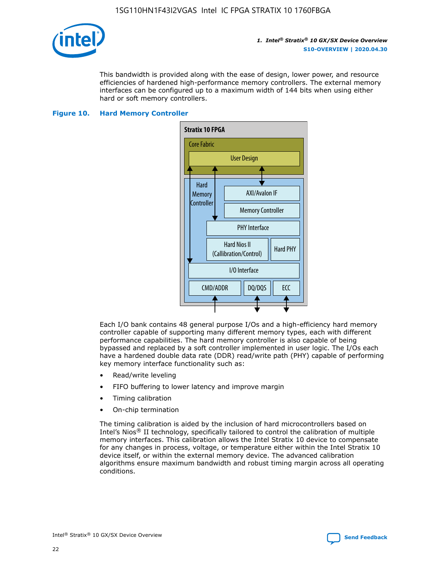

This bandwidth is provided along with the ease of design, lower power, and resource efficiencies of hardened high-performance memory controllers. The external memory interfaces can be configured up to a maximum width of 144 bits when using either hard or soft memory controllers.

#### **Figure 10. Hard Memory Controller**



Each I/O bank contains 48 general purpose I/Os and a high-efficiency hard memory controller capable of supporting many different memory types, each with different performance capabilities. The hard memory controller is also capable of being bypassed and replaced by a soft controller implemented in user logic. The I/Os each have a hardened double data rate (DDR) read/write path (PHY) capable of performing key memory interface functionality such as:

- Read/write leveling
- FIFO buffering to lower latency and improve margin
- Timing calibration
- On-chip termination

The timing calibration is aided by the inclusion of hard microcontrollers based on Intel's Nios® II technology, specifically tailored to control the calibration of multiple memory interfaces. This calibration allows the Intel Stratix 10 device to compensate for any changes in process, voltage, or temperature either within the Intel Stratix 10 device itself, or within the external memory device. The advanced calibration algorithms ensure maximum bandwidth and robust timing margin across all operating conditions.

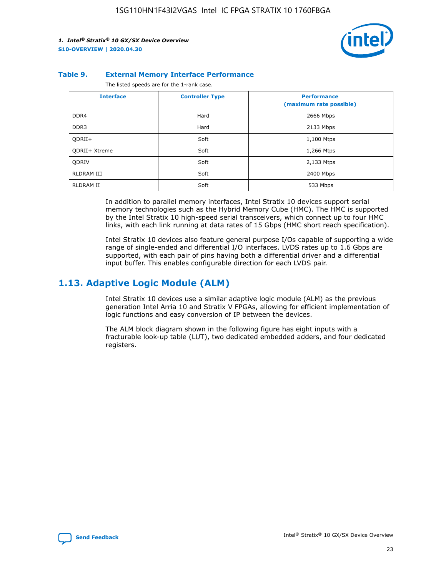

#### **Table 9. External Memory Interface Performance**

The listed speeds are for the 1-rank case.

| <b>Interface</b> | <b>Controller Type</b> | <b>Performance</b><br>(maximum rate possible) |
|------------------|------------------------|-----------------------------------------------|
| DDR4             | Hard                   | 2666 Mbps                                     |
| DDR <sub>3</sub> | Hard                   | 2133 Mbps                                     |
| QDRII+           | Soft                   | 1,100 Mtps                                    |
| QDRII+ Xtreme    | Soft                   | 1,266 Mtps                                    |
| <b>ODRIV</b>     | Soft                   | 2,133 Mtps                                    |
| RLDRAM III       | Soft                   | 2400 Mbps                                     |
| <b>RLDRAM II</b> | Soft                   | 533 Mbps                                      |

In addition to parallel memory interfaces, Intel Stratix 10 devices support serial memory technologies such as the Hybrid Memory Cube (HMC). The HMC is supported by the Intel Stratix 10 high-speed serial transceivers, which connect up to four HMC links, with each link running at data rates of 15 Gbps (HMC short reach specification).

Intel Stratix 10 devices also feature general purpose I/Os capable of supporting a wide range of single-ended and differential I/O interfaces. LVDS rates up to 1.6 Gbps are supported, with each pair of pins having both a differential driver and a differential input buffer. This enables configurable direction for each LVDS pair.

## **1.13. Adaptive Logic Module (ALM)**

Intel Stratix 10 devices use a similar adaptive logic module (ALM) as the previous generation Intel Arria 10 and Stratix V FPGAs, allowing for efficient implementation of logic functions and easy conversion of IP between the devices.

The ALM block diagram shown in the following figure has eight inputs with a fracturable look-up table (LUT), two dedicated embedded adders, and four dedicated registers.

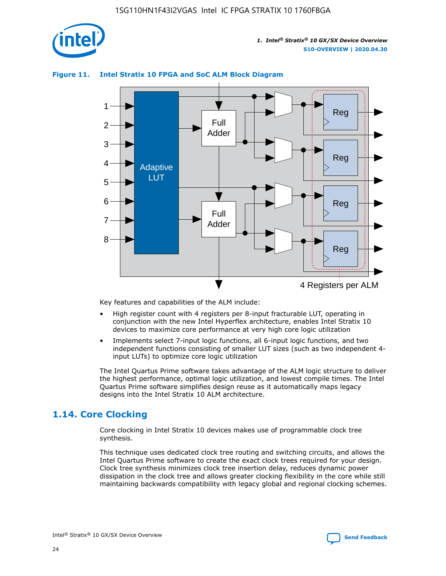

## **Figure 11. Intel Stratix 10 FPGA and SoC ALM Block Diagram**



Key features and capabilities of the ALM include:

- High register count with 4 registers per 8-input fracturable LUT, operating in conjunction with the new Intel Hyperflex architecture, enables Intel Stratix 10 devices to maximize core performance at very high core logic utilization
- Implements select 7-input logic functions, all 6-input logic functions, and two independent functions consisting of smaller LUT sizes (such as two independent 4 input LUTs) to optimize core logic utilization

The Intel Quartus Prime software takes advantage of the ALM logic structure to deliver the highest performance, optimal logic utilization, and lowest compile times. The Intel Quartus Prime software simplifies design reuse as it automatically maps legacy designs into the Intel Stratix 10 ALM architecture.

## **1.14. Core Clocking**

Core clocking in Intel Stratix 10 devices makes use of programmable clock tree synthesis.

This technique uses dedicated clock tree routing and switching circuits, and allows the Intel Quartus Prime software to create the exact clock trees required for your design. Clock tree synthesis minimizes clock tree insertion delay, reduces dynamic power dissipation in the clock tree and allows greater clocking flexibility in the core while still maintaining backwards compatibility with legacy global and regional clocking schemes.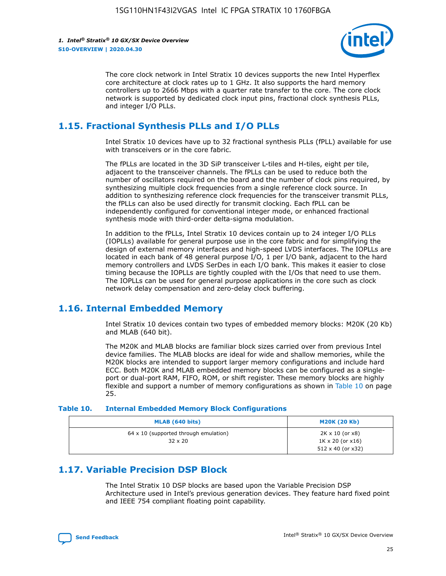

The core clock network in Intel Stratix 10 devices supports the new Intel Hyperflex core architecture at clock rates up to 1 GHz. It also supports the hard memory controllers up to 2666 Mbps with a quarter rate transfer to the core. The core clock network is supported by dedicated clock input pins, fractional clock synthesis PLLs, and integer I/O PLLs.

## **1.15. Fractional Synthesis PLLs and I/O PLLs**

Intel Stratix 10 devices have up to 32 fractional synthesis PLLs (fPLL) available for use with transceivers or in the core fabric.

The fPLLs are located in the 3D SiP transceiver L-tiles and H-tiles, eight per tile, adjacent to the transceiver channels. The fPLLs can be used to reduce both the number of oscillators required on the board and the number of clock pins required, by synthesizing multiple clock frequencies from a single reference clock source. In addition to synthesizing reference clock frequencies for the transceiver transmit PLLs, the fPLLs can also be used directly for transmit clocking. Each fPLL can be independently configured for conventional integer mode, or enhanced fractional synthesis mode with third-order delta-sigma modulation.

In addition to the fPLLs, Intel Stratix 10 devices contain up to 24 integer I/O PLLs (IOPLLs) available for general purpose use in the core fabric and for simplifying the design of external memory interfaces and high-speed LVDS interfaces. The IOPLLs are located in each bank of 48 general purpose I/O, 1 per I/O bank, adjacent to the hard memory controllers and LVDS SerDes in each I/O bank. This makes it easier to close timing because the IOPLLs are tightly coupled with the I/Os that need to use them. The IOPLLs can be used for general purpose applications in the core such as clock network delay compensation and zero-delay clock buffering.

## **1.16. Internal Embedded Memory**

Intel Stratix 10 devices contain two types of embedded memory blocks: M20K (20 Kb) and MLAB (640 bit).

The M20K and MLAB blocks are familiar block sizes carried over from previous Intel device families. The MLAB blocks are ideal for wide and shallow memories, while the M20K blocks are intended to support larger memory configurations and include hard ECC. Both M20K and MLAB embedded memory blocks can be configured as a singleport or dual-port RAM, FIFO, ROM, or shift register. These memory blocks are highly flexible and support a number of memory configurations as shown in Table 10 on page 25.

#### **Table 10. Internal Embedded Memory Block Configurations**

| MLAB (640 bits)                                                | <b>M20K (20 Kb)</b>                                                                    |
|----------------------------------------------------------------|----------------------------------------------------------------------------------------|
| $64 \times 10$ (supported through emulation)<br>$32 \times 20$ | $2K \times 10$ (or $x8$ )<br>$1K \times 20$ (or $x16$ )<br>$512 \times 40$ (or $x32$ ) |

## **1.17. Variable Precision DSP Block**

The Intel Stratix 10 DSP blocks are based upon the Variable Precision DSP Architecture used in Intel's previous generation devices. They feature hard fixed point and IEEE 754 compliant floating point capability.

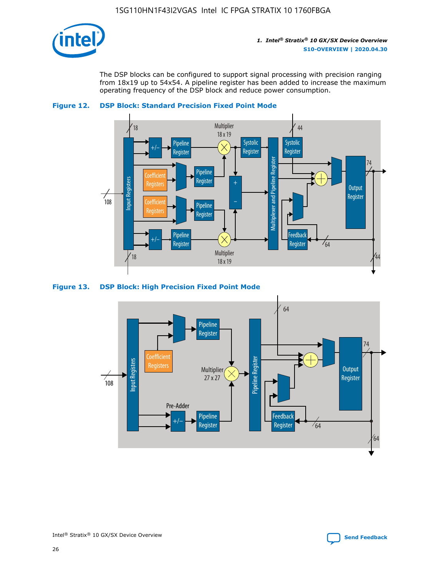

The DSP blocks can be configured to support signal processing with precision ranging from 18x19 up to 54x54. A pipeline register has been added to increase the maximum operating frequency of the DSP block and reduce power consumption.





#### **Figure 13. DSP Block: High Precision Fixed Point Mode**



Intel<sup>®</sup> Stratix<sup>®</sup> 10 GX/SX Device Overview **[Send Feedback](mailto:FPGAtechdocfeedback@intel.com?subject=Feedback%20on%20Intel%20Stratix%2010%20GX/SX%20Device%20Overview%20(S10-OVERVIEW%202020.04.30)&body=We%20appreciate%20your%20feedback.%20In%20your%20comments,%20also%20specify%20the%20page%20number%20or%20paragraph.%20Thank%20you.)** Send Feedback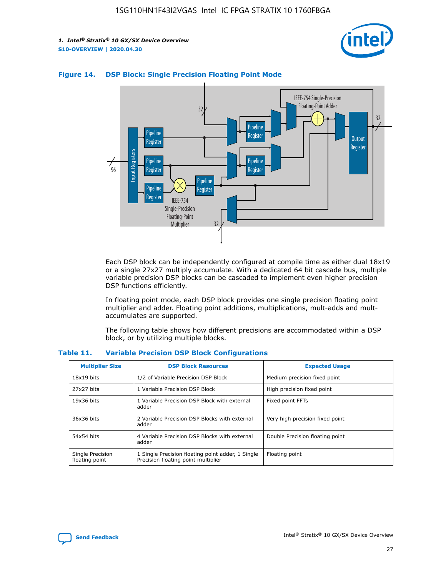



#### **Figure 14. DSP Block: Single Precision Floating Point Mode**

Each DSP block can be independently configured at compile time as either dual 18x19 or a single 27x27 multiply accumulate. With a dedicated 64 bit cascade bus, multiple variable precision DSP blocks can be cascaded to implement even higher precision DSP functions efficiently.

In floating point mode, each DSP block provides one single precision floating point multiplier and adder. Floating point additions, multiplications, mult-adds and multaccumulates are supported.

The following table shows how different precisions are accommodated within a DSP block, or by utilizing multiple blocks.

| <b>Multiplier Size</b>             | <b>DSP Block Resources</b>                                                               | <b>Expected Usage</b>           |
|------------------------------------|------------------------------------------------------------------------------------------|---------------------------------|
| $18x19$ bits                       | 1/2 of Variable Precision DSP Block                                                      | Medium precision fixed point    |
| 27x27 bits                         | 1 Variable Precision DSP Block                                                           | High precision fixed point      |
| $19x36$ bits                       | 1 Variable Precision DSP Block with external<br>adder                                    | Fixed point FFTs                |
| 36x36 bits                         | 2 Variable Precision DSP Blocks with external<br>adder                                   | Very high precision fixed point |
| 54x54 bits                         | 4 Variable Precision DSP Blocks with external<br>adder                                   | Double Precision floating point |
| Single Precision<br>floating point | 1 Single Precision floating point adder, 1 Single<br>Precision floating point multiplier | Floating point                  |

#### **Table 11. Variable Precision DSP Block Configurations**

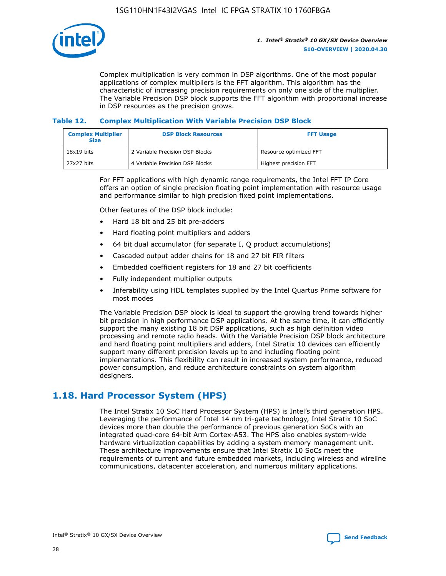

Complex multiplication is very common in DSP algorithms. One of the most popular applications of complex multipliers is the FFT algorithm. This algorithm has the characteristic of increasing precision requirements on only one side of the multiplier. The Variable Precision DSP block supports the FFT algorithm with proportional increase in DSP resources as the precision grows.

## **Table 12. Complex Multiplication With Variable Precision DSP Block**

| <b>Complex Multiplier</b><br><b>Size</b> | <b>DSP Block Resources</b>      | <b>FFT Usage</b>       |
|------------------------------------------|---------------------------------|------------------------|
| $18x19$ bits                             | 2 Variable Precision DSP Blocks | Resource optimized FFT |
| 27x27 bits                               | 4 Variable Precision DSP Blocks | Highest precision FFT  |

For FFT applications with high dynamic range requirements, the Intel FFT IP Core offers an option of single precision floating point implementation with resource usage and performance similar to high precision fixed point implementations.

Other features of the DSP block include:

- Hard 18 bit and 25 bit pre-adders
- Hard floating point multipliers and adders
- 64 bit dual accumulator (for separate I, Q product accumulations)
- Cascaded output adder chains for 18 and 27 bit FIR filters
- Embedded coefficient registers for 18 and 27 bit coefficients
- Fully independent multiplier outputs
- Inferability using HDL templates supplied by the Intel Quartus Prime software for most modes

The Variable Precision DSP block is ideal to support the growing trend towards higher bit precision in high performance DSP applications. At the same time, it can efficiently support the many existing 18 bit DSP applications, such as high definition video processing and remote radio heads. With the Variable Precision DSP block architecture and hard floating point multipliers and adders, Intel Stratix 10 devices can efficiently support many different precision levels up to and including floating point implementations. This flexibility can result in increased system performance, reduced power consumption, and reduce architecture constraints on system algorithm designers.

## **1.18. Hard Processor System (HPS)**

The Intel Stratix 10 SoC Hard Processor System (HPS) is Intel's third generation HPS. Leveraging the performance of Intel 14 nm tri-gate technology, Intel Stratix 10 SoC devices more than double the performance of previous generation SoCs with an integrated quad-core 64-bit Arm Cortex-A53. The HPS also enables system-wide hardware virtualization capabilities by adding a system memory management unit. These architecture improvements ensure that Intel Stratix 10 SoCs meet the requirements of current and future embedded markets, including wireless and wireline communications, datacenter acceleration, and numerous military applications.

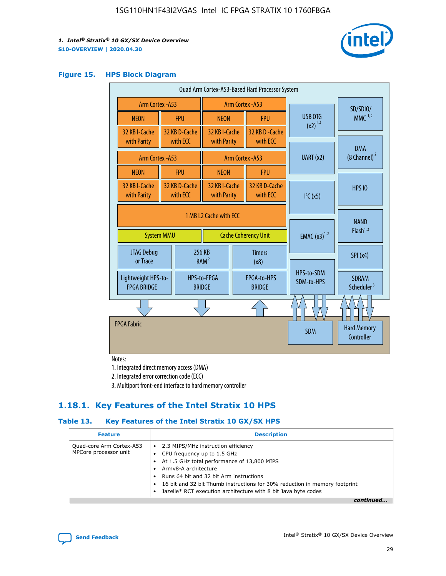

#### **Figure 15. HPS Block Diagram**

| Quad Arm Cortex-A53-Based Hard Processor System |                   |                           |                                                           |  |                              |                          |                                     |                                        |
|-------------------------------------------------|-------------------|---------------------------|-----------------------------------------------------------|--|------------------------------|--------------------------|-------------------------------------|----------------------------------------|
| Arm Cortex - A53                                |                   |                           | Arm Cortex - A53                                          |  |                              |                          | SD/SDIO/                            |                                        |
| <b>NEON</b>                                     |                   | <b>FPU</b>                | <b>NEON</b>                                               |  | <b>FPU</b>                   | USB OTG                  |                                     | $MMC$ <sup>1,2</sup>                   |
| 32 KB I-Cache<br>with Parity                    |                   | 32 KB D-Cache<br>with ECC | 32 KB I-Cache<br>with Parity                              |  | 32 KB D - Cache<br>with ECC  | $(x2)^{1,2}$             |                                     |                                        |
|                                                 | Arm Cortex - A53  |                           |                                                           |  | Arm Cortex - A53             | UART (x2)                |                                     | <b>DMA</b><br>(8 Channel) <sup>2</sup> |
| <b>NEON</b>                                     |                   | <b>FPU</b>                | <b>NEON</b>                                               |  | <b>FPU</b>                   |                          |                                     |                                        |
| 32 KB I-Cache<br>with Parity                    |                   | 32 KB D-Cache<br>with ECC | 32 KB I-Cache<br>32 KB D-Cache<br>with ECC<br>with Parity |  | I <sup>2</sup> C(x5)         |                          | <b>HPS 10</b>                       |                                        |
|                                                 | <b>System MMU</b> |                           | 1 MB L2 Cache with ECC<br><b>Cache Coherency Unit</b>     |  | <b>EMAC</b> $(x3)^{1,2}$     |                          | <b>NAND</b><br>Flash <sup>1,2</sup> |                                        |
| <b>JTAG Debug</b><br>or Trace                   |                   |                           | 256 KB<br><b>Timers</b><br>RAM <sup>2</sup><br>(x8)       |  |                              |                          | SPI(x4)                             |                                        |
| Lightweight HPS-to-<br><b>FPGA BRIDGE</b>       |                   |                           | HPS-to-FPGA<br><b>BRIDGE</b>                              |  | FPGA-to-HPS<br><b>BRIDGE</b> | HPS-to-SDM<br>SDM-to-HPS |                                     | <b>SDRAM</b><br>Scheduler <sup>3</sup> |
|                                                 |                   |                           |                                                           |  |                              |                          |                                     |                                        |
| <b>FPGA Fabric</b>                              |                   |                           |                                                           |  |                              | <b>SDM</b>               |                                     | <b>Hard Memory</b><br>Controller       |

Notes:

1. Integrated direct memory access (DMA)

2. Integrated error correction code (ECC)

3. Multiport front-end interface to hard memory controller

## **1.18.1. Key Features of the Intel Stratix 10 HPS**

## **Table 13. Key Features of the Intel Stratix 10 GX/SX HPS**

| <b>Feature</b>                                    | <b>Description</b>                                                                                                                                                                                                                                                                                                                     |
|---------------------------------------------------|----------------------------------------------------------------------------------------------------------------------------------------------------------------------------------------------------------------------------------------------------------------------------------------------------------------------------------------|
| Quad-core Arm Cortex-A53<br>MPCore processor unit | • 2.3 MIPS/MHz instruction efficiency<br>CPU frequency up to 1.5 GHz<br>At 1.5 GHz total performance of 13,800 MIPS<br>Army8-A architecture<br>Runs 64 bit and 32 bit Arm instructions<br>16 bit and 32 bit Thumb instructions for 30% reduction in memory footprint<br>Jazelle* RCT execution architecture with 8 bit Java byte codes |
|                                                   |                                                                                                                                                                                                                                                                                                                                        |

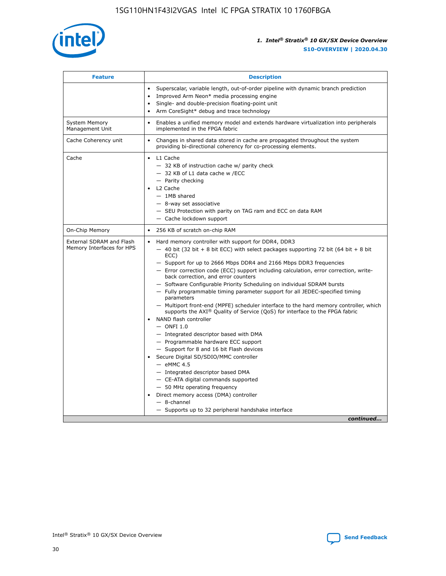

| <b>Feature</b>                                        | <b>Description</b>                                                                                                                                                                                                                                                                                                                                                                                                                                                                                                                                                                                                                                                                                                                                                                                                                                                                                                                                                                                                                                                                                                                                                                                                       |  |
|-------------------------------------------------------|--------------------------------------------------------------------------------------------------------------------------------------------------------------------------------------------------------------------------------------------------------------------------------------------------------------------------------------------------------------------------------------------------------------------------------------------------------------------------------------------------------------------------------------------------------------------------------------------------------------------------------------------------------------------------------------------------------------------------------------------------------------------------------------------------------------------------------------------------------------------------------------------------------------------------------------------------------------------------------------------------------------------------------------------------------------------------------------------------------------------------------------------------------------------------------------------------------------------------|--|
|                                                       | Superscalar, variable length, out-of-order pipeline with dynamic branch prediction<br>Improved Arm Neon* media processing engine<br>$\bullet$<br>Single- and double-precision floating-point unit<br>Arm CoreSight* debug and trace technology                                                                                                                                                                                                                                                                                                                                                                                                                                                                                                                                                                                                                                                                                                                                                                                                                                                                                                                                                                           |  |
| <b>System Memory</b><br>Management Unit               | Enables a unified memory model and extends hardware virtualization into peripherals<br>$\bullet$<br>implemented in the FPGA fabric                                                                                                                                                                                                                                                                                                                                                                                                                                                                                                                                                                                                                                                                                                                                                                                                                                                                                                                                                                                                                                                                                       |  |
| Cache Coherency unit                                  | Changes in shared data stored in cache are propagated throughout the system<br>$\bullet$<br>providing bi-directional coherency for co-processing elements.                                                                                                                                                                                                                                                                                                                                                                                                                                                                                                                                                                                                                                                                                                                                                                                                                                                                                                                                                                                                                                                               |  |
| Cache                                                 | L1 Cache<br>$\bullet$<br>- 32 KB of instruction cache w/ parity check<br>- 32 KB of L1 data cache w /ECC<br>- Parity checking<br>L2 Cache<br>$-$ 1MB shared<br>- 8-way set associative<br>- SEU Protection with parity on TAG ram and ECC on data RAM<br>- Cache lockdown support                                                                                                                                                                                                                                                                                                                                                                                                                                                                                                                                                                                                                                                                                                                                                                                                                                                                                                                                        |  |
| On-Chip Memory                                        | 256 KB of scratch on-chip RAM<br>$\bullet$                                                                                                                                                                                                                                                                                                                                                                                                                                                                                                                                                                                                                                                                                                                                                                                                                                                                                                                                                                                                                                                                                                                                                                               |  |
| External SDRAM and Flash<br>Memory Interfaces for HPS | Hard memory controller with support for DDR4, DDR3<br>$\bullet$<br>$-$ 40 bit (32 bit + 8 bit ECC) with select packages supporting 72 bit (64 bit + 8 bit<br>ECC)<br>- Support for up to 2666 Mbps DDR4 and 2166 Mbps DDR3 frequencies<br>- Error correction code (ECC) support including calculation, error correction, write-<br>back correction, and error counters<br>- Software Configurable Priority Scheduling on individual SDRAM bursts<br>- Fully programmable timing parameter support for all JEDEC-specified timing<br>parameters<br>- Multiport front-end (MPFE) scheduler interface to the hard memory controller, which<br>supports the $AXI^{\circledR}$ Quality of Service (QoS) for interface to the FPGA fabric<br>NAND flash controller<br>$-$ ONFI 1.0<br>- Integrated descriptor based with DMA<br>- Programmable hardware ECC support<br>- Support for 8 and 16 bit Flash devices<br>Secure Digital SD/SDIO/MMC controller<br>$-$ eMMC 4.5<br>- Integrated descriptor based DMA<br>- CE-ATA digital commands supported<br>- 50 MHz operating frequency<br>Direct memory access (DMA) controller<br>$\bullet$<br>$-$ 8-channel<br>- Supports up to 32 peripheral handshake interface<br>continued |  |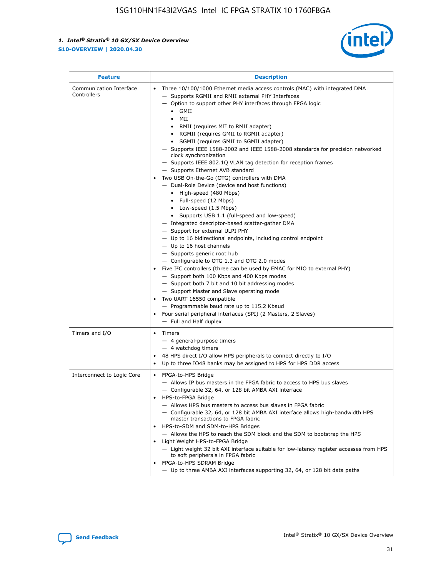

| <b>Feature</b>                         | <b>Description</b>                                                                                                                                                                                                                                                                                                                                                                                                                                                                                                                                                                                                                                                                                                                                                                                                                                                                                                                                                                                                                                                                                                                                                                                                                                                                                                                                                                                                                                                                                |
|----------------------------------------|---------------------------------------------------------------------------------------------------------------------------------------------------------------------------------------------------------------------------------------------------------------------------------------------------------------------------------------------------------------------------------------------------------------------------------------------------------------------------------------------------------------------------------------------------------------------------------------------------------------------------------------------------------------------------------------------------------------------------------------------------------------------------------------------------------------------------------------------------------------------------------------------------------------------------------------------------------------------------------------------------------------------------------------------------------------------------------------------------------------------------------------------------------------------------------------------------------------------------------------------------------------------------------------------------------------------------------------------------------------------------------------------------------------------------------------------------------------------------------------------------|
| Communication Interface<br>Controllers | Three 10/100/1000 Ethernet media access controls (MAC) with integrated DMA<br>- Supports RGMII and RMII external PHY Interfaces<br>- Option to support other PHY interfaces through FPGA logic<br>$\bullet$ GMII<br>MII<br>$\bullet$<br>• RMII (requires MII to RMII adapter)<br>• RGMII (requires GMII to RGMII adapter)<br>• SGMII (requires GMII to SGMII adapter)<br>- Supports IEEE 1588-2002 and IEEE 1588-2008 standards for precision networked<br>clock synchronization<br>- Supports IEEE 802.1Q VLAN tag detection for reception frames<br>- Supports Ethernet AVB standard<br>Two USB On-the-Go (OTG) controllers with DMA<br>- Dual-Role Device (device and host functions)<br>• High-speed (480 Mbps)<br>• Full-speed (12 Mbps)<br>• Low-speed (1.5 Mbps)<br>• Supports USB 1.1 (full-speed and low-speed)<br>- Integrated descriptor-based scatter-gather DMA<br>- Support for external ULPI PHY<br>- Up to 16 bidirectional endpoints, including control endpoint<br>$-$ Up to 16 host channels<br>- Supports generic root hub<br>- Configurable to OTG 1.3 and OTG 2.0 modes<br>Five $I^2C$ controllers (three can be used by EMAC for MIO to external PHY)<br>- Support both 100 Kbps and 400 Kbps modes<br>- Support both 7 bit and 10 bit addressing modes<br>- Support Master and Slave operating mode<br>Two UART 16550 compatible<br>- Programmable baud rate up to 115.2 Kbaud<br>Four serial peripheral interfaces (SPI) (2 Masters, 2 Slaves)<br>- Full and Half duplex |
| Timers and I/O                         | Timers<br>- 4 general-purpose timers<br>$-4$ watchdog timers<br>48 HPS direct I/O allow HPS peripherals to connect directly to I/O<br>Up to three IO48 banks may be assigned to HPS for HPS DDR access                                                                                                                                                                                                                                                                                                                                                                                                                                                                                                                                                                                                                                                                                                                                                                                                                                                                                                                                                                                                                                                                                                                                                                                                                                                                                            |
| Interconnect to Logic Core             | • FPGA-to-HPS Bridge<br>- Allows IP bus masters in the FPGA fabric to access to HPS bus slaves<br>- Configurable 32, 64, or 128 bit AMBA AXI interface<br>HPS-to-FPGA Bridge<br>- Allows HPS bus masters to access bus slaves in FPGA fabric<br>- Configurable 32, 64, or 128 bit AMBA AXI interface allows high-bandwidth HPS<br>master transactions to FPGA fabric<br>HPS-to-SDM and SDM-to-HPS Bridges<br>- Allows the HPS to reach the SDM block and the SDM to bootstrap the HPS<br>Light Weight HPS-to-FPGA Bridge<br>- Light weight 32 bit AXI interface suitable for low-latency register accesses from HPS<br>to soft peripherals in FPGA fabric<br>FPGA-to-HPS SDRAM Bridge<br>- Up to three AMBA AXI interfaces supporting 32, 64, or 128 bit data paths                                                                                                                                                                                                                                                                                                                                                                                                                                                                                                                                                                                                                                                                                                                               |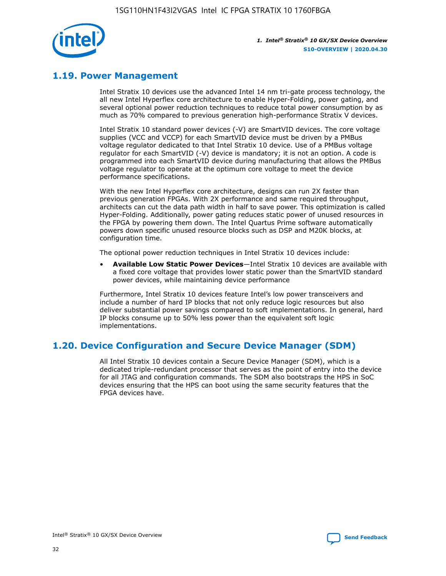

## **1.19. Power Management**

Intel Stratix 10 devices use the advanced Intel 14 nm tri-gate process technology, the all new Intel Hyperflex core architecture to enable Hyper-Folding, power gating, and several optional power reduction techniques to reduce total power consumption by as much as 70% compared to previous generation high-performance Stratix V devices.

Intel Stratix 10 standard power devices (-V) are SmartVID devices. The core voltage supplies (VCC and VCCP) for each SmartVID device must be driven by a PMBus voltage regulator dedicated to that Intel Stratix 10 device. Use of a PMBus voltage regulator for each SmartVID (-V) device is mandatory; it is not an option. A code is programmed into each SmartVID device during manufacturing that allows the PMBus voltage regulator to operate at the optimum core voltage to meet the device performance specifications.

With the new Intel Hyperflex core architecture, designs can run 2X faster than previous generation FPGAs. With 2X performance and same required throughput, architects can cut the data path width in half to save power. This optimization is called Hyper-Folding. Additionally, power gating reduces static power of unused resources in the FPGA by powering them down. The Intel Quartus Prime software automatically powers down specific unused resource blocks such as DSP and M20K blocks, at configuration time.

The optional power reduction techniques in Intel Stratix 10 devices include:

• **Available Low Static Power Devices**—Intel Stratix 10 devices are available with a fixed core voltage that provides lower static power than the SmartVID standard power devices, while maintaining device performance

Furthermore, Intel Stratix 10 devices feature Intel's low power transceivers and include a number of hard IP blocks that not only reduce logic resources but also deliver substantial power savings compared to soft implementations. In general, hard IP blocks consume up to 50% less power than the equivalent soft logic implementations.

## **1.20. Device Configuration and Secure Device Manager (SDM)**

All Intel Stratix 10 devices contain a Secure Device Manager (SDM), which is a dedicated triple-redundant processor that serves as the point of entry into the device for all JTAG and configuration commands. The SDM also bootstraps the HPS in SoC devices ensuring that the HPS can boot using the same security features that the FPGA devices have.

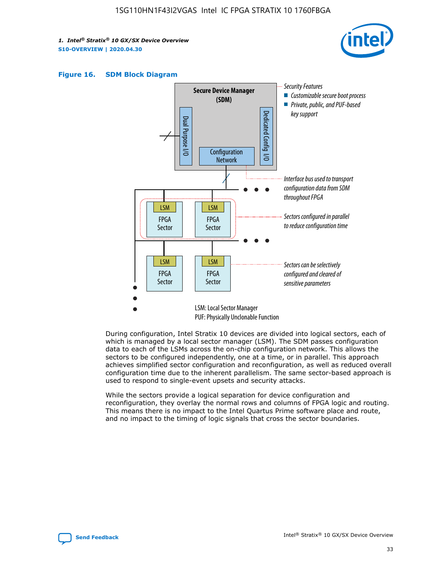





During configuration, Intel Stratix 10 devices are divided into logical sectors, each of which is managed by a local sector manager (LSM). The SDM passes configuration data to each of the LSMs across the on-chip configuration network. This allows the sectors to be configured independently, one at a time, or in parallel. This approach achieves simplified sector configuration and reconfiguration, as well as reduced overall configuration time due to the inherent parallelism. The same sector-based approach is used to respond to single-event upsets and security attacks.

While the sectors provide a logical separation for device configuration and reconfiguration, they overlay the normal rows and columns of FPGA logic and routing. This means there is no impact to the Intel Quartus Prime software place and route, and no impact to the timing of logic signals that cross the sector boundaries.

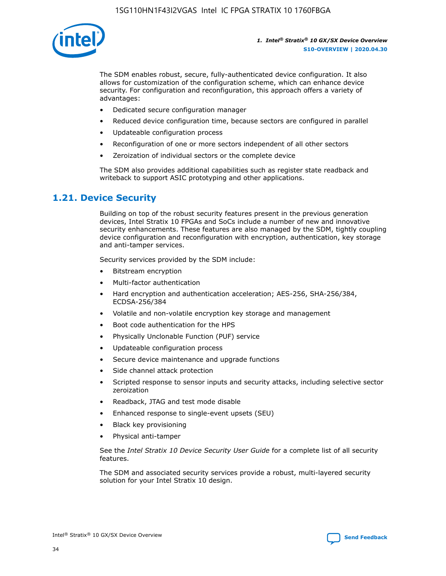

The SDM enables robust, secure, fully-authenticated device configuration. It also allows for customization of the configuration scheme, which can enhance device security. For configuration and reconfiguration, this approach offers a variety of advantages:

- Dedicated secure configuration manager
- Reduced device configuration time, because sectors are configured in parallel
- Updateable configuration process
- Reconfiguration of one or more sectors independent of all other sectors
- Zeroization of individual sectors or the complete device

The SDM also provides additional capabilities such as register state readback and writeback to support ASIC prototyping and other applications.

## **1.21. Device Security**

Building on top of the robust security features present in the previous generation devices, Intel Stratix 10 FPGAs and SoCs include a number of new and innovative security enhancements. These features are also managed by the SDM, tightly coupling device configuration and reconfiguration with encryption, authentication, key storage and anti-tamper services.

Security services provided by the SDM include:

- Bitstream encryption
- Multi-factor authentication
- Hard encryption and authentication acceleration; AES-256, SHA-256/384, ECDSA-256/384
- Volatile and non-volatile encryption key storage and management
- Boot code authentication for the HPS
- Physically Unclonable Function (PUF) service
- Updateable configuration process
- Secure device maintenance and upgrade functions
- Side channel attack protection
- Scripted response to sensor inputs and security attacks, including selective sector zeroization
- Readback, JTAG and test mode disable
- Enhanced response to single-event upsets (SEU)
- Black key provisioning
- Physical anti-tamper

See the *Intel Stratix 10 Device Security User Guide* for a complete list of all security features.

The SDM and associated security services provide a robust, multi-layered security solution for your Intel Stratix 10 design.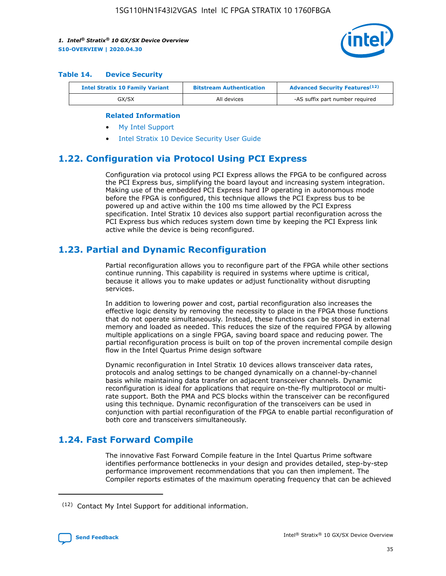

#### **Table 14. Device Security**

| <b>Intel Stratix 10 Family Variant</b> | <b>Bitstream Authentication</b> | <b>Advanced Security Features</b> <sup>(12)</sup> |  |
|----------------------------------------|---------------------------------|---------------------------------------------------|--|
| GX/SX                                  | All devices                     | -AS suffix part number required                   |  |

#### **Related Information**

- [My Intel Support](https://www.intel.com/content/www/us/en/programmable/my-intel/mal-home.html)
- [Intel Stratix 10 Device Security User Guide](https://www.intel.com/content/www/us/en/programmable/documentation/ndq1483601370898.html#wcd1483611014402)

## **1.22. Configuration via Protocol Using PCI Express**

Configuration via protocol using PCI Express allows the FPGA to be configured across the PCI Express bus, simplifying the board layout and increasing system integration. Making use of the embedded PCI Express hard IP operating in autonomous mode before the FPGA is configured, this technique allows the PCI Express bus to be powered up and active within the 100 ms time allowed by the PCI Express specification. Intel Stratix 10 devices also support partial reconfiguration across the PCI Express bus which reduces system down time by keeping the PCI Express link active while the device is being reconfigured.

## **1.23. Partial and Dynamic Reconfiguration**

Partial reconfiguration allows you to reconfigure part of the FPGA while other sections continue running. This capability is required in systems where uptime is critical, because it allows you to make updates or adjust functionality without disrupting services.

In addition to lowering power and cost, partial reconfiguration also increases the effective logic density by removing the necessity to place in the FPGA those functions that do not operate simultaneously. Instead, these functions can be stored in external memory and loaded as needed. This reduces the size of the required FPGA by allowing multiple applications on a single FPGA, saving board space and reducing power. The partial reconfiguration process is built on top of the proven incremental compile design flow in the Intel Quartus Prime design software

Dynamic reconfiguration in Intel Stratix 10 devices allows transceiver data rates, protocols and analog settings to be changed dynamically on a channel-by-channel basis while maintaining data transfer on adjacent transceiver channels. Dynamic reconfiguration is ideal for applications that require on-the-fly multiprotocol or multirate support. Both the PMA and PCS blocks within the transceiver can be reconfigured using this technique. Dynamic reconfiguration of the transceivers can be used in conjunction with partial reconfiguration of the FPGA to enable partial reconfiguration of both core and transceivers simultaneously.

## **1.24. Fast Forward Compile**

The innovative Fast Forward Compile feature in the Intel Quartus Prime software identifies performance bottlenecks in your design and provides detailed, step-by-step performance improvement recommendations that you can then implement. The Compiler reports estimates of the maximum operating frequency that can be achieved

<sup>(12)</sup> Contact My Intel Support for additional information.

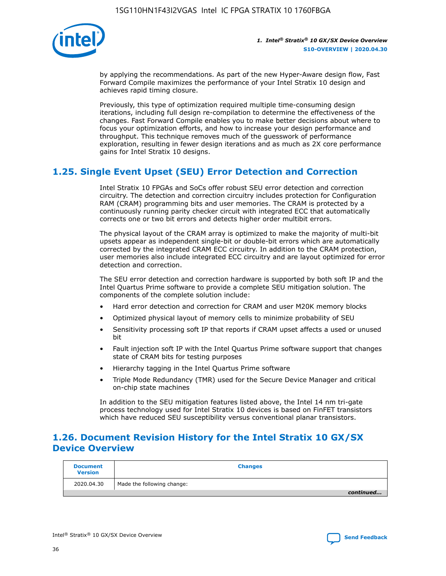

by applying the recommendations. As part of the new Hyper-Aware design flow, Fast Forward Compile maximizes the performance of your Intel Stratix 10 design and achieves rapid timing closure.

Previously, this type of optimization required multiple time-consuming design iterations, including full design re-compilation to determine the effectiveness of the changes. Fast Forward Compile enables you to make better decisions about where to focus your optimization efforts, and how to increase your design performance and throughput. This technique removes much of the guesswork of performance exploration, resulting in fewer design iterations and as much as 2X core performance gains for Intel Stratix 10 designs.

## **1.25. Single Event Upset (SEU) Error Detection and Correction**

Intel Stratix 10 FPGAs and SoCs offer robust SEU error detection and correction circuitry. The detection and correction circuitry includes protection for Configuration RAM (CRAM) programming bits and user memories. The CRAM is protected by a continuously running parity checker circuit with integrated ECC that automatically corrects one or two bit errors and detects higher order multibit errors.

The physical layout of the CRAM array is optimized to make the majority of multi-bit upsets appear as independent single-bit or double-bit errors which are automatically corrected by the integrated CRAM ECC circuitry. In addition to the CRAM protection, user memories also include integrated ECC circuitry and are layout optimized for error detection and correction.

The SEU error detection and correction hardware is supported by both soft IP and the Intel Quartus Prime software to provide a complete SEU mitigation solution. The components of the complete solution include:

- Hard error detection and correction for CRAM and user M20K memory blocks
- Optimized physical layout of memory cells to minimize probability of SEU
- Sensitivity processing soft IP that reports if CRAM upset affects a used or unused bit
- Fault injection soft IP with the Intel Quartus Prime software support that changes state of CRAM bits for testing purposes
- Hierarchy tagging in the Intel Quartus Prime software
- Triple Mode Redundancy (TMR) used for the Secure Device Manager and critical on-chip state machines

In addition to the SEU mitigation features listed above, the Intel 14 nm tri-gate process technology used for Intel Stratix 10 devices is based on FinFET transistors which have reduced SEU susceptibility versus conventional planar transistors.

## **1.26. Document Revision History for the Intel Stratix 10 GX/SX Device Overview**

| <b>Document</b><br><b>Version</b> | <b>Changes</b>             |
|-----------------------------------|----------------------------|
| 2020.04.30                        | Made the following change: |
|                                   | continued                  |

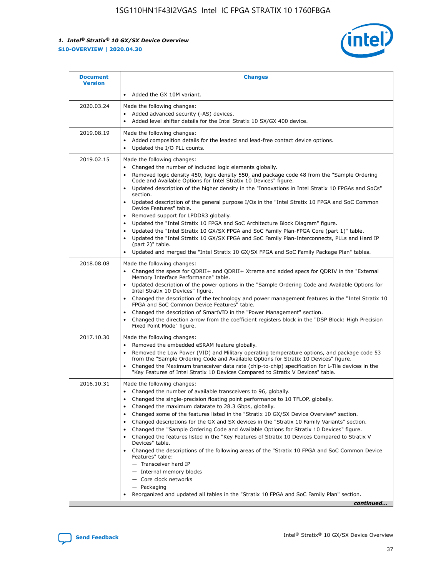

| <b>Document</b><br><b>Version</b> | <b>Changes</b>                                                                                                                                                                                                                                                                                                                                                                                                                                                                                                                                                                                                                                                                                                                                                                                                                                                                                                                                                            |
|-----------------------------------|---------------------------------------------------------------------------------------------------------------------------------------------------------------------------------------------------------------------------------------------------------------------------------------------------------------------------------------------------------------------------------------------------------------------------------------------------------------------------------------------------------------------------------------------------------------------------------------------------------------------------------------------------------------------------------------------------------------------------------------------------------------------------------------------------------------------------------------------------------------------------------------------------------------------------------------------------------------------------|
|                                   | Added the GX 10M variant.<br>$\bullet$                                                                                                                                                                                                                                                                                                                                                                                                                                                                                                                                                                                                                                                                                                                                                                                                                                                                                                                                    |
| 2020.03.24                        | Made the following changes:<br>Added advanced security (-AS) devices.<br>$\bullet$<br>Added level shifter details for the Intel Stratix 10 SX/GX 400 device.                                                                                                                                                                                                                                                                                                                                                                                                                                                                                                                                                                                                                                                                                                                                                                                                              |
| 2019.08.19                        | Made the following changes:<br>Added composition details for the leaded and lead-free contact device options.<br>Updated the I/O PLL counts.                                                                                                                                                                                                                                                                                                                                                                                                                                                                                                                                                                                                                                                                                                                                                                                                                              |
| 2019.02.15                        | Made the following changes:<br>Changed the number of included logic elements globally.<br>٠<br>Removed logic density 450, logic density 550, and package code 48 from the "Sample Ordering<br>$\bullet$<br>Code and Available Options for Intel Stratix 10 Devices" figure.<br>Updated description of the higher density in the "Innovations in Intel Stratix 10 FPGAs and SoCs"<br>section.<br>Updated description of the general purpose I/Os in the "Intel Stratix 10 FPGA and SoC Common<br>$\bullet$<br>Device Features" table.<br>Removed support for LPDDR3 globally.<br>Updated the "Intel Stratix 10 FPGA and SoC Architecture Block Diagram" figure.<br>Updated the "Intel Stratix 10 GX/SX FPGA and SoC Family Plan-FPGA Core (part 1)" table.<br>Updated the "Intel Stratix 10 GX/SX FPGA and SoC Family Plan-Interconnects, PLLs and Hard IP<br>(part 2)" table.<br>Updated and merged the "Intel Stratix 10 GX/SX FPGA and SoC Family Package Plan" tables. |
| 2018.08.08                        | Made the following changes:<br>Changed the specs for QDRII+ and QDRII+ Xtreme and added specs for QDRIV in the "External<br>$\bullet$<br>Memory Interface Performance" table.<br>Updated description of the power options in the "Sample Ordering Code and Available Options for<br>Intel Stratix 10 Devices" figure.<br>Changed the description of the technology and power management features in the "Intel Stratix 10<br>FPGA and SoC Common Device Features" table.<br>Changed the description of SmartVID in the "Power Management" section.<br>Changed the direction arrow from the coefficient registers block in the "DSP Block: High Precision<br>$\bullet$<br>Fixed Point Mode" figure.                                                                                                                                                                                                                                                                        |
| 2017.10.30                        | Made the following changes:<br>Removed the embedded eSRAM feature globally.<br>$\bullet$<br>Removed the Low Power (VID) and Military operating temperature options, and package code 53<br>٠<br>from the "Sample Ordering Code and Available Options for Stratix 10 Devices" figure.<br>Changed the Maximum transceiver data rate (chip-to-chip) specification for L-Tile devices in the<br>"Key Features of Intel Stratix 10 Devices Compared to Stratix V Devices" table.                                                                                                                                                                                                                                                                                                                                                                                                                                                                                               |
| 2016.10.31                        | Made the following changes:<br>Changed the number of available transceivers to 96, globally.<br>Changed the single-precision floating point performance to 10 TFLOP, globally.<br>Changed the maximum datarate to 28.3 Gbps, globally.<br>Changed some of the features listed in the "Stratix 10 GX/SX Device Overview" section.<br>٠<br>Changed descriptions for the GX and SX devices in the "Stratix 10 Family Variants" section.<br>Changed the "Sample Ordering Code and Available Options for Stratix 10 Devices" figure.<br>٠<br>Changed the features listed in the "Key Features of Stratix 10 Devices Compared to Stratix V<br>Devices" table.<br>Changed the descriptions of the following areas of the "Stratix 10 FPGA and SoC Common Device<br>Features" table:<br>- Transceiver hard IP<br>- Internal memory blocks<br>- Core clock networks<br>- Packaging<br>Reorganized and updated all tables in the "Stratix 10 FPGA and SoC Family Plan" section.     |
|                                   | continued                                                                                                                                                                                                                                                                                                                                                                                                                                                                                                                                                                                                                                                                                                                                                                                                                                                                                                                                                                 |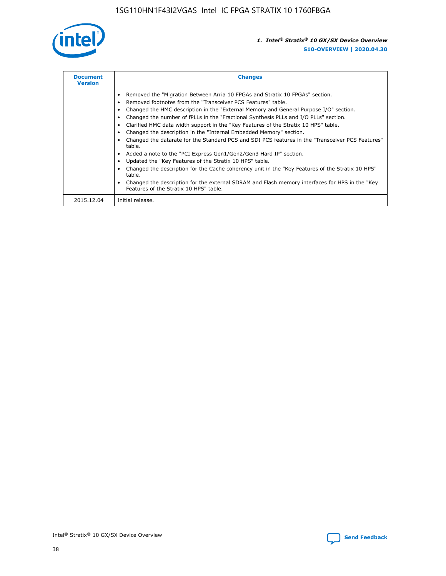

| <b>Document</b><br><b>Version</b> | <b>Changes</b>                                                                                                                                                                                                                                                                                                                                                                                                                                                                                                                                                                                                                                                                                                                                                                                                                                                                                                                                                                                      |
|-----------------------------------|-----------------------------------------------------------------------------------------------------------------------------------------------------------------------------------------------------------------------------------------------------------------------------------------------------------------------------------------------------------------------------------------------------------------------------------------------------------------------------------------------------------------------------------------------------------------------------------------------------------------------------------------------------------------------------------------------------------------------------------------------------------------------------------------------------------------------------------------------------------------------------------------------------------------------------------------------------------------------------------------------------|
|                                   | Removed the "Migration Between Arria 10 FPGAs and Stratix 10 FPGAs" section.<br>Removed footnotes from the "Transceiver PCS Features" table.<br>Changed the HMC description in the "External Memory and General Purpose I/O" section.<br>Changed the number of fPLLs in the "Fractional Synthesis PLLs and I/O PLLs" section.<br>Clarified HMC data width support in the "Key Features of the Stratix 10 HPS" table.<br>Changed the description in the "Internal Embedded Memory" section.<br>Changed the datarate for the Standard PCS and SDI PCS features in the "Transceiver PCS Features"<br>table.<br>Added a note to the "PCI Express Gen1/Gen2/Gen3 Hard IP" section.<br>Updated the "Key Features of the Stratix 10 HPS" table.<br>Changed the description for the Cache coherency unit in the "Key Features of the Stratix 10 HPS"<br>table.<br>Changed the description for the external SDRAM and Flash memory interfaces for HPS in the "Key"<br>Features of the Stratix 10 HPS" table. |
| 2015.12.04                        | Initial release.                                                                                                                                                                                                                                                                                                                                                                                                                                                                                                                                                                                                                                                                                                                                                                                                                                                                                                                                                                                    |